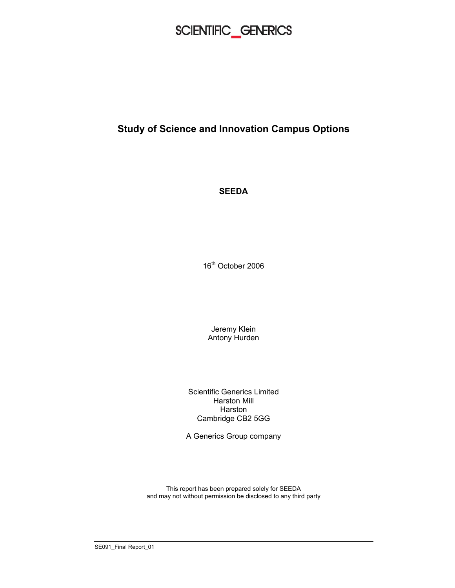

### **Study of Science and Innovation Campus Options**

**SEEDA** 

16<sup>th</sup> October 2006

Jeremy Klein Antony Hurden

Scientific Generics Limited Harston Mill Harston Cambridge CB2 5GG

A Generics Group company

This report has been prepared solely for SEEDA and may not without permission be disclosed to any third party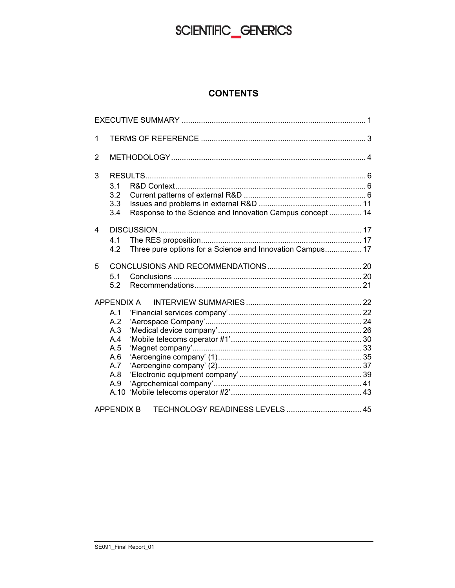#### **CONTENTS**

| 1                 |                                                                                       |  |  |
|-------------------|---------------------------------------------------------------------------------------|--|--|
| $\overline{2}$    |                                                                                       |  |  |
| 3                 | 3.1<br>3.2<br>3.3<br>Response to the Science and Innovation Campus concept  14<br>3.4 |  |  |
| 4                 | 41<br>Three pure options for a Science and Innovation Campus 17<br>4.2                |  |  |
| 5                 | 5.1<br>5.2                                                                            |  |  |
| APPENDIX A<br>A.1 |                                                                                       |  |  |
|                   | A.2<br>A.3<br>A.4<br>A.5<br>A.6<br>A.7<br>A.8<br>A.9<br>A.10                          |  |  |
|                   | TECHNOLOGY READINESS LEVELS  45<br><b>APPENDIX B</b>                                  |  |  |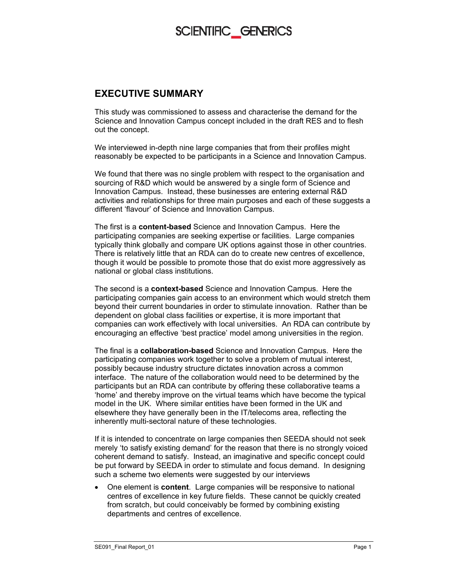#### **EXECUTIVE SUMMARY**

This study was commissioned to assess and characterise the demand for the Science and Innovation Campus concept included in the draft RES and to flesh out the concept.

We interviewed in-depth nine large companies that from their profiles might reasonably be expected to be participants in a Science and Innovation Campus.

We found that there was no single problem with respect to the organisation and sourcing of R&D which would be answered by a single form of Science and Innovation Campus. Instead, these businesses are entering external R&D activities and relationships for three main purposes and each of these suggests a different 'flavour' of Science and Innovation Campus.

The first is a **content-based** Science and Innovation Campus. Here the participating companies are seeking expertise or facilities. Large companies typically think globally and compare UK options against those in other countries. There is relatively little that an RDA can do to create new centres of excellence, though it would be possible to promote those that do exist more aggressively as national or global class institutions.

The second is a **context-based** Science and Innovation Campus. Here the participating companies gain access to an environment which would stretch them beyond their current boundaries in order to stimulate innovation. Rather than be dependent on global class facilities or expertise, it is more important that companies can work effectively with local universities. An RDA can contribute by encouraging an effective 'best practice' model among universities in the region.

The final is a **collaboration-based** Science and Innovation Campus. Here the participating companies work together to solve a problem of mutual interest, possibly because industry structure dictates innovation across a common interface. The nature of the collaboration would need to be determined by the participants but an RDA can contribute by offering these collaborative teams a 'home' and thereby improve on the virtual teams which have become the typical model in the UK. Where similar entities have been formed in the UK and elsewhere they have generally been in the IT/telecoms area, reflecting the inherently multi-sectoral nature of these technologies.

If it is intended to concentrate on large companies then SEEDA should not seek merely 'to satisfy existing demand' for the reason that there is no strongly voiced coherent demand to satisfy. Instead, an imaginative and specific concept could be put forward by SEEDA in order to stimulate and focus demand. In designing such a scheme two elements were suggested by our interviews

• One element is **content**. Large companies will be responsive to national centres of excellence in key future fields. These cannot be quickly created from scratch, but could conceivably be formed by combining existing departments and centres of excellence.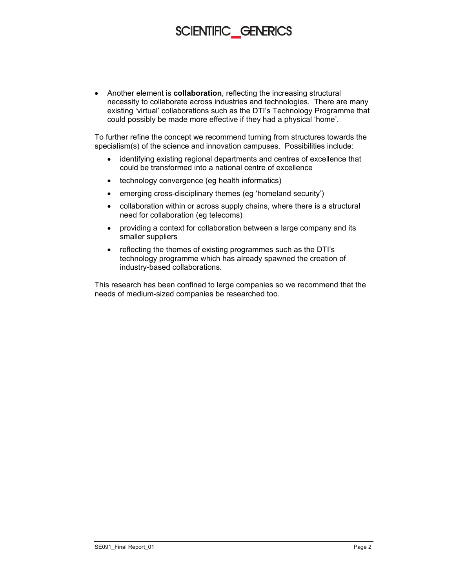• Another element is **collaboration**, reflecting the increasing structural necessity to collaborate across industries and technologies. There are many existing 'virtual' collaborations such as the DTI's Technology Programme that could possibly be made more effective if they had a physical 'home'.

To further refine the concept we recommend turning from structures towards the specialism(s) of the science and innovation campuses. Possibilities include:

- identifying existing regional departments and centres of excellence that could be transformed into a national centre of excellence
- technology convergence (eg health informatics)
- emerging cross-disciplinary themes (eg 'homeland security')
- collaboration within or across supply chains, where there is a structural need for collaboration (eg telecoms)
- providing a context for collaboration between a large company and its smaller suppliers
- reflecting the themes of existing programmes such as the DTI's technology programme which has already spawned the creation of industry-based collaborations.

This research has been confined to large companies so we recommend that the needs of medium-sized companies be researched too.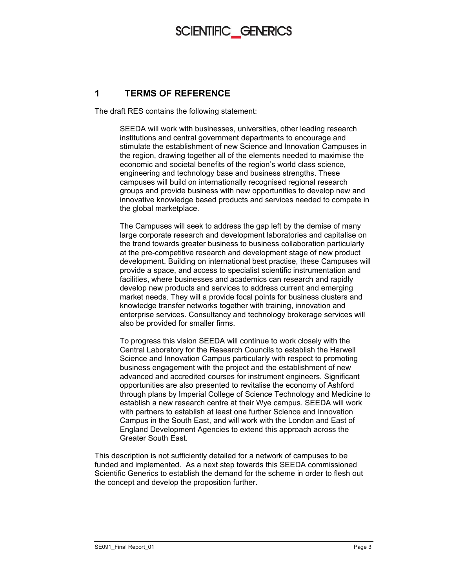#### **1 TERMS OF REFERENCE**

The draft RES contains the following statement:

SEEDA will work with businesses, universities, other leading research institutions and central government departments to encourage and stimulate the establishment of new Science and Innovation Campuses in the region, drawing together all of the elements needed to maximise the economic and societal benefits of the region's world class science, engineering and technology base and business strengths. These campuses will build on internationally recognised regional research groups and provide business with new opportunities to develop new and innovative knowledge based products and services needed to compete in the global marketplace.

The Campuses will seek to address the gap left by the demise of many large corporate research and development laboratories and capitalise on the trend towards greater business to business collaboration particularly at the pre-competitive research and development stage of new product development. Building on international best practise, these Campuses will provide a space, and access to specialist scientific instrumentation and facilities, where businesses and academics can research and rapidly develop new products and services to address current and emerging market needs. They will a provide focal points for business clusters and knowledge transfer networks together with training, innovation and enterprise services. Consultancy and technology brokerage services will also be provided for smaller firms.

To progress this vision SEEDA will continue to work closely with the Central Laboratory for the Research Councils to establish the Harwell Science and Innovation Campus particularly with respect to promoting business engagement with the project and the establishment of new advanced and accredited courses for instrument engineers. Significant opportunities are also presented to revitalise the economy of Ashford through plans by Imperial College of Science Technology and Medicine to establish a new research centre at their Wye campus. SEEDA will work with partners to establish at least one further Science and Innovation Campus in the South East, and will work with the London and East of England Development Agencies to extend this approach across the Greater South East.

This description is not sufficiently detailed for a network of campuses to be funded and implemented. As a next step towards this SEEDA commissioned Scientific Generics to establish the demand for the scheme in order to flesh out the concept and develop the proposition further.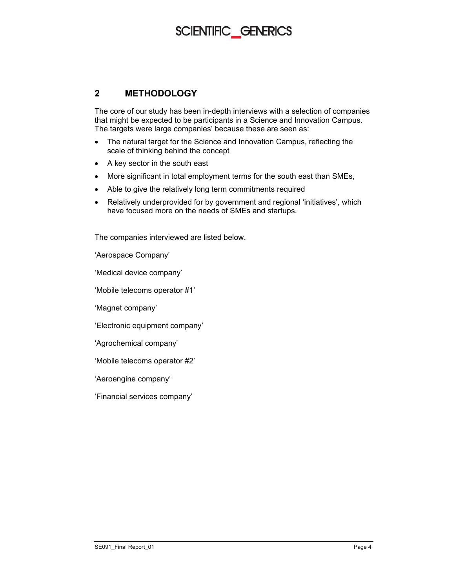#### **2 METHODOLOGY**

The core of our study has been in-depth interviews with a selection of companies that might be expected to be participants in a Science and Innovation Campus. The targets were large companies' because these are seen as:

- The natural target for the Science and Innovation Campus, reflecting the scale of thinking behind the concept
- A key sector in the south east
- More significant in total employment terms for the south east than SMEs,
- Able to give the relatively long term commitments required
- Relatively underprovided for by government and regional 'initiatives', which have focused more on the needs of SMEs and startups.

The companies interviewed are listed below.

'Aerospace Company'

'Medical device company'

'Mobile telecoms operator #1'

'Magnet company'

'Electronic equipment company'

'Agrochemical company'

'Mobile telecoms operator #2'

'Aeroengine company'

'Financial services company'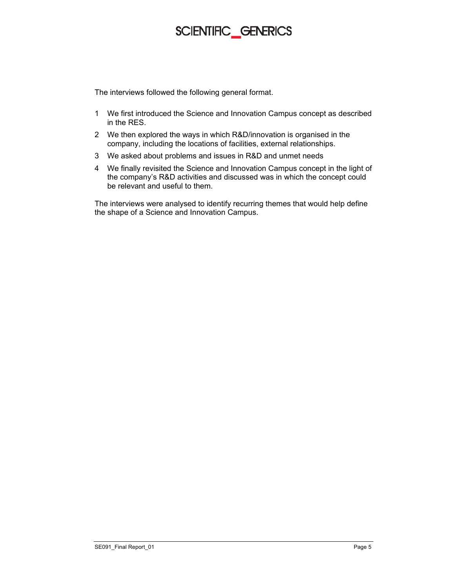The interviews followed the following general format.

- 1 We first introduced the Science and Innovation Campus concept as described in the RES.
- 2 We then explored the ways in which R&D/innovation is organised in the company, including the locations of facilities, external relationships.
- 3 We asked about problems and issues in R&D and unmet needs
- 4 We finally revisited the Science and Innovation Campus concept in the light of the company's R&D activities and discussed was in which the concept could be relevant and useful to them.

The interviews were analysed to identify recurring themes that would help define the shape of a Science and Innovation Campus.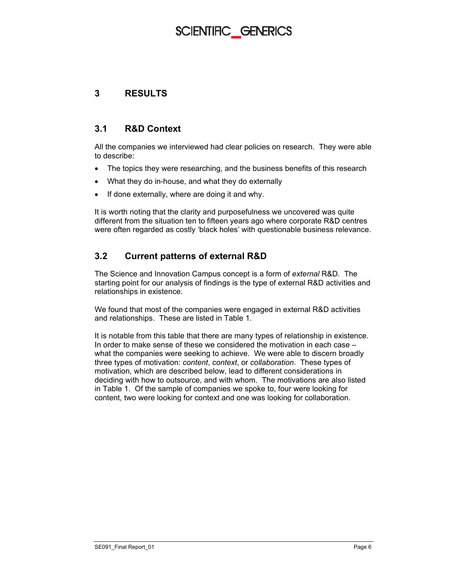#### **3 RESULTS**

#### **3.1 R&D Context**

All the companies we interviewed had clear policies on research. They were able to describe:

- The topics they were researching, and the business benefits of this research
- What they do in-house, and what they do externally
- If done externally, where are doing it and why.

It is worth noting that the clarity and purposefulness we uncovered was quite different from the situation ten to fifteen years ago where corporate R&D centres were often regarded as costly 'black holes' with questionable business relevance.

#### **3.2 Current patterns of external R&D**

The Science and Innovation Campus concept is a form of *external* R&D. The starting point for our analysis of findings is the type of external R&D activities and relationships in existence.

We found that most of the companies were engaged in external R&D activities and relationships. These are listed in Table 1.

It is notable from this table that there are many types of relationship in existence. In order to make sense of these we considered the motivation in each case – what the companies were seeking to achieve. We were able to discern broadly three types of motivation: *content*, *context*, or *collaboration*. These types of motivation, which are described below, lead to different considerations in deciding with how to outsource, and with whom. The motivations are also listed in Table 1. Of the sample of companies we spoke to, four were looking for content, two were looking for context and one was looking for collaboration.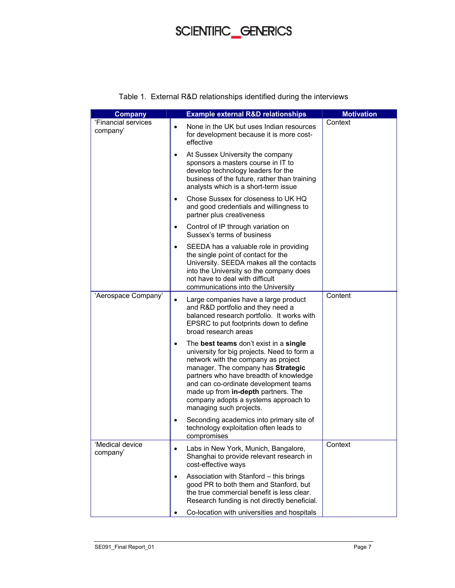| <b>Company</b>                  |           | <b>Example external R&amp;D relationships</b>                                                                                                                                                                                                                                                                                                                   | <b>Motivation</b> |
|---------------------------------|-----------|-----------------------------------------------------------------------------------------------------------------------------------------------------------------------------------------------------------------------------------------------------------------------------------------------------------------------------------------------------------------|-------------------|
| 'Financial services<br>company' | $\bullet$ | None in the UK but uses Indian resources<br>for development because it is more cost-<br>effective                                                                                                                                                                                                                                                               | Context           |
|                                 | ٠         | At Sussex University the company<br>sponsors a masters course in IT to<br>develop technology leaders for the<br>business of the future, rather than training<br>analysts which is a short-term issue                                                                                                                                                            |                   |
|                                 | ٠         | Chose Sussex for closeness to UK HQ<br>and good credentials and willingness to<br>partner plus creativeness                                                                                                                                                                                                                                                     |                   |
|                                 | $\bullet$ | Control of IP through variation on<br>Sussex's terms of business                                                                                                                                                                                                                                                                                                |                   |
|                                 | $\bullet$ | SEEDA has a valuable role in providing<br>the single point of contact for the<br>University. SEEDA makes all the contacts<br>into the University so the company does<br>not have to deal with difficult<br>communications into the University                                                                                                                   |                   |
| 'Aerospace Company'             | $\bullet$ | Large companies have a large product<br>and R&D portfolio and they need a<br>balanced research portfolio. It works with<br>EPSRC to put footprints down to define<br>broad research areas                                                                                                                                                                       | Content           |
|                                 | ٠         | The best teams don't exist in a single<br>university for big projects. Need to form a<br>network with the company as project<br>manager. The company has Strategic<br>partners who have breadth of knowledge<br>and can co-ordinate development teams<br>made up from in-depth partners. The<br>company adopts a systems approach to<br>managing such projects. |                   |
|                                 | $\bullet$ | Seconding academics into primary site of<br>technology exploitation often leads to<br>compromises                                                                                                                                                                                                                                                               |                   |
| Medical device<br>company'      |           | Labs in New York, Munich, Bangalore,<br>Shanghai to provide relevant research in<br>cost-effective ways                                                                                                                                                                                                                                                         | Context           |
|                                 | $\bullet$ | Association with Stanford - this brings<br>good PR to both them and Stanford, but<br>the true commercial benefit is less clear.<br>Research funding is not directly beneficial.                                                                                                                                                                                 |                   |
|                                 |           | Co-location with universities and hospitals                                                                                                                                                                                                                                                                                                                     |                   |

#### Table 1. External R&D relationships identified during the interviews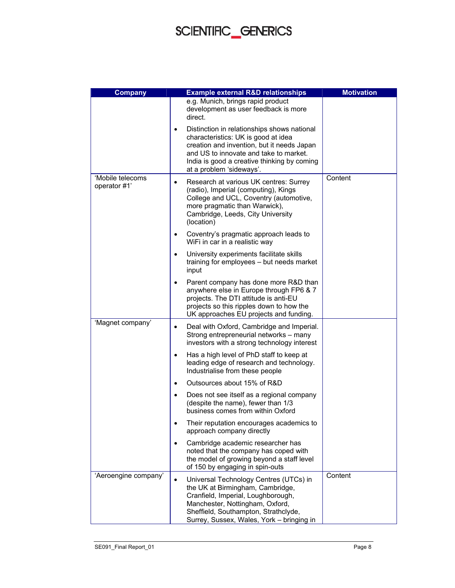| <b>Company</b>                   | <b>Example external R&amp;D relationships</b>                                                                                                                                                                                                                      | <b>Motivation</b> |
|----------------------------------|--------------------------------------------------------------------------------------------------------------------------------------------------------------------------------------------------------------------------------------------------------------------|-------------------|
|                                  | e.g. Munich, brings rapid product<br>development as user feedback is more<br>direct.                                                                                                                                                                               |                   |
|                                  | Distinction in relationships shows national<br>$\bullet$<br>characteristics: UK is good at idea<br>creation and invention, but it needs Japan<br>and US to innovate and take to market.<br>India is good a creative thinking by coming<br>at a problem 'sideways'. |                   |
| 'Mobile telecoms<br>operator #1' | Research at various UK centres: Surrey<br>$\bullet$<br>(radio), Imperial (computing), Kings<br>College and UCL, Coventry (automotive,<br>more pragmatic than Warwick),<br>Cambridge, Leeds, City University<br>(location)                                          | Content           |
|                                  | Coventry's pragmatic approach leads to<br>٠<br>WiFi in car in a realistic way                                                                                                                                                                                      |                   |
|                                  | University experiments facilitate skills<br>$\bullet$<br>training for employees - but needs market<br>input                                                                                                                                                        |                   |
|                                  | Parent company has done more R&D than<br>٠<br>anywhere else in Europe through FP6 & 7<br>projects. The DTI attitude is anti-EU<br>projects so this ripples down to how the<br>UK approaches EU projects and funding.                                               |                   |
| 'Magnet company'                 | Deal with Oxford, Cambridge and Imperial.<br>$\bullet$<br>Strong entrepreneurial networks - many<br>investors with a strong technology interest                                                                                                                    |                   |
|                                  | Has a high level of PhD staff to keep at<br>$\bullet$<br>leading edge of research and technology.<br>Industrialise from these people                                                                                                                               |                   |
|                                  | Outsources about 15% of R&D<br>$\bullet$                                                                                                                                                                                                                           |                   |
|                                  | Does not see itself as a regional company<br>$\bullet$<br>(despite the name), fewer than 1/3<br>business comes from within Oxford                                                                                                                                  |                   |
|                                  | Their reputation encourages academics to<br>$\bullet$<br>approach company directly                                                                                                                                                                                 |                   |
|                                  | Cambridge academic researcher has<br>noted that the company has coped with<br>the model of growing beyond a staff level<br>of 150 by engaging in spin-outs                                                                                                         |                   |
| 'Aeroengine company'             | Universal Technology Centres (UTCs) in<br>$\bullet$<br>the UK at Birmingham, Cambridge,<br>Cranfield, Imperial, Loughborough,<br>Manchester, Nottingham, Oxford,<br>Sheffield, Southampton, Strathclyde,<br>Surrey, Sussex, Wales, York - bringing in              | Content           |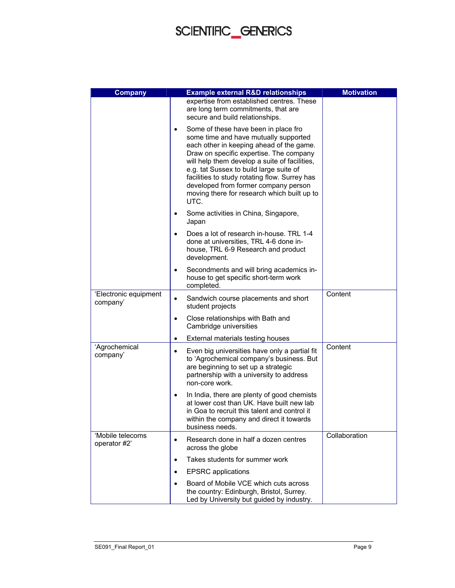| <b>Company</b>                    | <b>Example external R&amp;D relationships</b>                                                                                                                                                                                                                                                                                                                                                                                 | <b>Motivation</b> |
|-----------------------------------|-------------------------------------------------------------------------------------------------------------------------------------------------------------------------------------------------------------------------------------------------------------------------------------------------------------------------------------------------------------------------------------------------------------------------------|-------------------|
|                                   | expertise from established centres. These<br>are long term commitments, that are<br>secure and build relationships.                                                                                                                                                                                                                                                                                                           |                   |
|                                   | Some of these have been in place fro<br>$\bullet$<br>some time and have mutually supported<br>each other in keeping ahead of the game.<br>Draw on specific expertise. The company<br>will help them develop a suite of facilities,<br>e.g. tat Sussex to build large suite of<br>facilities to study rotating flow. Surrey has<br>developed from former company person<br>moving there for research which built up to<br>UTC. |                   |
|                                   | Some activities in China, Singapore,<br>$\bullet$<br>Japan                                                                                                                                                                                                                                                                                                                                                                    |                   |
|                                   | Does a lot of research in-house. TRL 1-4<br>done at universities, TRL 4-6 done in-<br>house, TRL 6-9 Research and product<br>development.                                                                                                                                                                                                                                                                                     |                   |
|                                   | Secondments and will bring academics in-<br>٠<br>house to get specific short-term work<br>completed.                                                                                                                                                                                                                                                                                                                          |                   |
| 'Electronic equipment<br>company' | Sandwich course placements and short<br>$\bullet$<br>student projects                                                                                                                                                                                                                                                                                                                                                         | Content           |
|                                   | Close relationships with Bath and<br>$\bullet$<br>Cambridge universities                                                                                                                                                                                                                                                                                                                                                      |                   |
|                                   | External materials testing houses<br>$\bullet$                                                                                                                                                                                                                                                                                                                                                                                |                   |
| 'Agrochemical<br>company'         | Even big universities have only a partial fit<br>٠<br>to 'Agrochemical company's business. But<br>are beginning to set up a strategic<br>partnership with a university to address<br>non-core work.                                                                                                                                                                                                                           | Content           |
|                                   | In India, there are plenty of good chemists<br>٠<br>at lower cost than UK. Have built new lab<br>in Goa to recruit this talent and control it<br>within the company and direct it towards<br>business needs.                                                                                                                                                                                                                  |                   |
| 'Mobile telecoms<br>operator #2'  | Research done in half a dozen centres<br>$\bullet$<br>across the globe                                                                                                                                                                                                                                                                                                                                                        | Collaboration     |
|                                   | Takes students for summer work<br>$\bullet$                                                                                                                                                                                                                                                                                                                                                                                   |                   |
|                                   | <b>EPSRC</b> applications<br>$\bullet$                                                                                                                                                                                                                                                                                                                                                                                        |                   |
|                                   | Board of Mobile VCE which cuts across<br>$\bullet$<br>the country: Edinburgh, Bristol, Surrey.<br>Led by University but guided by industry.                                                                                                                                                                                                                                                                                   |                   |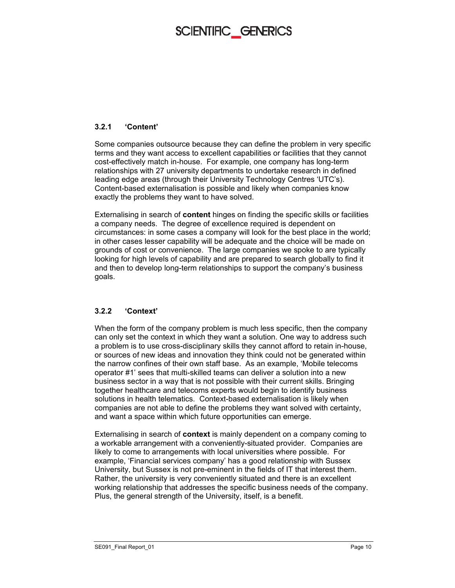#### **3.2.1 'Content'**

Some companies outsource because they can define the problem in very specific terms and they want access to excellent capabilities or facilities that they cannot cost-effectively match in-house. For example, one company has long-term relationships with 27 university departments to undertake research in defined leading edge areas (through their University Technology Centres 'UTC's). Content-based externalisation is possible and likely when companies know exactly the problems they want to have solved.

Externalising in search of **content** hinges on finding the specific skills or facilities a company needs. The degree of excellence required is dependent on circumstances: in some cases a company will look for the best place in the world; in other cases lesser capability will be adequate and the choice will be made on grounds of cost or convenience. The large companies we spoke to are typically looking for high levels of capability and are prepared to search globally to find it and then to develop long-term relationships to support the company's business goals.

#### **3.2.2 'Context'**

When the form of the company problem is much less specific, then the company can only set the context in which they want a solution. One way to address such a problem is to use cross-disciplinary skills they cannot afford to retain in-house, or sources of new ideas and innovation they think could not be generated within the narrow confines of their own staff base. As an example, 'Mobile telecoms operator #1' sees that multi-skilled teams can deliver a solution into a new business sector in a way that is not possible with their current skills. Bringing together healthcare and telecoms experts would begin to identify business solutions in health telematics. Context-based externalisation is likely when companies are not able to define the problems they want solved with certainty, and want a space within which future opportunities can emerge.

Externalising in search of **context** is mainly dependent on a company coming to a workable arrangement with a conveniently-situated provider. Companies are likely to come to arrangements with local universities where possible. For example, 'Financial services company' has a good relationship with Sussex University, but Sussex is not pre-eminent in the fields of IT that interest them. Rather, the university is very conveniently situated and there is an excellent working relationship that addresses the specific business needs of the company. Plus, the general strength of the University, itself, is a benefit.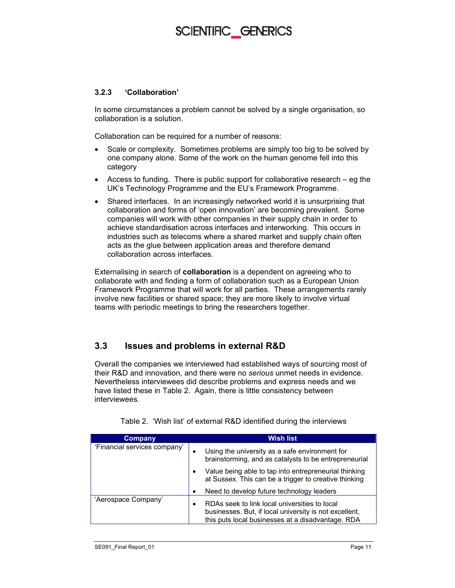#### **3.2.3 'Collaboration'**

In some circumstances a problem cannot be solved by a single organisation, so collaboration is a solution.

Collaboration can be required for a number of reasons:

- Scale or complexity. Sometimes problems are simply too big to be solved by one company alone. Some of the work on the human genome fell into this category
- Access to funding. There is public support for collaborative research eg the UK's Technology Programme and the EU's Framework Programme.
- Shared interfaces. In an increasingly networked world it is unsurprising that collaboration and forms of 'open innovation' are becoming prevalent. Some companies will work with other companies in their supply chain in order to achieve standardisation across interfaces and interworking. This occurs in industries such as telecoms where a shared market and supply chain often acts as the glue between application areas and therefore demand collaboration across interfaces.

Externalising in search of **collaboration** is a dependent on agreeing who to collaborate with and finding a form of collaboration such as a European Union Framework Programme that will work for all parties. These arrangements rarely involve new facilities or shared space; they are more likely to involve virtual teams with periodic meetings to bring the researchers together.

#### **3.3 Issues and problems in external R&D**

Overall the companies we interviewed had established ways of sourcing most of their R&D and innovation, and there were no *serious* unmet needs in evidence. Nevertheless interviewees did describe problems and express needs and we have listed these in Table 2. Again, there is little consistency between interviewees.

| Company                      | Wish list                                                                                                                                                    |
|------------------------------|--------------------------------------------------------------------------------------------------------------------------------------------------------------|
| 'Financial services company' | Using the university as a safe environment for<br>٠<br>brainstorming, and as catalysts to be entrepreneurial                                                 |
|                              | Value being able to tap into entrepreneurial thinking<br>at Sussex. This can be a trigger to creative thinking                                               |
|                              | Need to develop future technology leaders                                                                                                                    |
| 'Aerospace Company'          | RDAs seek to link local universities to local<br>businesses. But, if local university is not excellent,<br>this puts local businesses at a disadvantage. RDA |

Table 2. 'Wish list' of external R&D identified during the interviews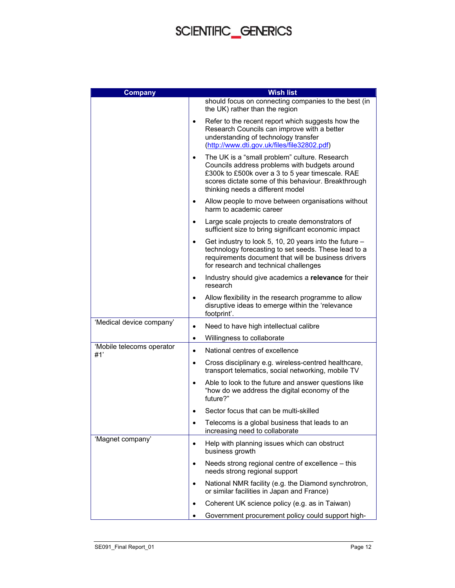| <b>Company</b>                   | <b>Wish list</b>                                                                                                                                                                                                                                           |
|----------------------------------|------------------------------------------------------------------------------------------------------------------------------------------------------------------------------------------------------------------------------------------------------------|
|                                  | should focus on connecting companies to the best (in<br>the UK) rather than the region                                                                                                                                                                     |
|                                  | Refer to the recent report which suggests how the<br>$\bullet$<br>Research Councils can improve with a better<br>understanding of technology transfer<br>(http://www.dti.gov.uk/files/file32802.pdf)                                                       |
|                                  | The UK is a "small problem" culture. Research<br>$\bullet$<br>Councils address problems with budgets around<br>£300k to £500k over a 3 to 5 year timescale. RAE<br>scores dictate some of this behaviour. Breakthrough<br>thinking needs a different model |
|                                  | Allow people to move between organisations without<br>$\bullet$<br>harm to academic career                                                                                                                                                                 |
|                                  | Large scale projects to create demonstrators of<br>$\bullet$<br>sufficient size to bring significant economic impact                                                                                                                                       |
|                                  | Get industry to look 5, 10, 20 years into the future -<br>$\bullet$<br>technology forecasting to set seeds. These lead to a<br>requirements document that will be business drivers<br>for research and technical challenges                                |
|                                  | Industry should give academics a relevance for their<br>$\bullet$<br>research                                                                                                                                                                              |
|                                  | Allow flexibility in the research programme to allow<br>$\bullet$<br>disruptive ideas to emerge within the 'relevance<br>footprint'.                                                                                                                       |
| 'Medical device company'         | Need to have high intellectual calibre<br>٠                                                                                                                                                                                                                |
|                                  | Willingness to collaborate<br>$\bullet$                                                                                                                                                                                                                    |
| 'Mobile telecoms operator<br>#1' | National centres of excellence<br>$\bullet$                                                                                                                                                                                                                |
|                                  | Cross disciplinary e.g. wireless-centred healthcare,<br>$\bullet$<br>transport telematics, social networking, mobile TV                                                                                                                                    |
|                                  | Able to look to the future and answer questions like<br>$\bullet$<br>"how do we address the digital economy of the<br>future?"                                                                                                                             |
|                                  | Sector focus that can be multi-skilled<br>٠                                                                                                                                                                                                                |
|                                  | Telecoms is a global business that leads to an<br>٠<br>increasing need to collaborate                                                                                                                                                                      |
| 'Magnet company'                 | Help with planning issues which can obstruct<br>$\bullet$<br>business growth                                                                                                                                                                               |
|                                  | Needs strong regional centre of excellence – this<br>$\bullet$<br>needs strong regional support                                                                                                                                                            |
|                                  | National NMR facility (e.g. the Diamond synchrotron,<br>$\bullet$<br>or similar facilities in Japan and France)                                                                                                                                            |
|                                  | Coherent UK science policy (e.g. as in Taiwan)<br>٠                                                                                                                                                                                                        |
|                                  | Government procurement policy could support high-                                                                                                                                                                                                          |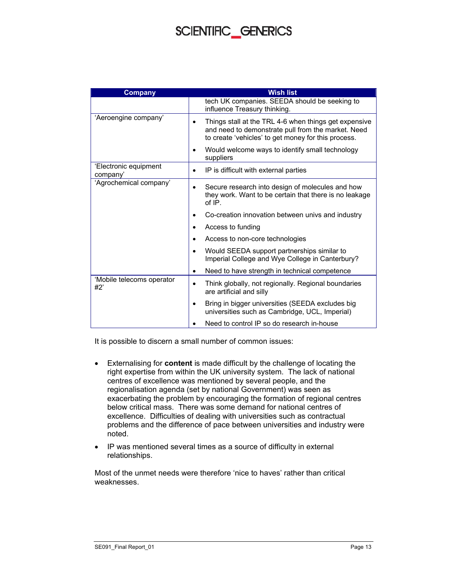| <b>Company</b>                    | <b>Wish list</b>                                                                                                                                                   |
|-----------------------------------|--------------------------------------------------------------------------------------------------------------------------------------------------------------------|
|                                   | tech UK companies. SEEDA should be seeking to<br>influence Treasury thinking.                                                                                      |
| 'Aeroengine company'              | Things stall at the TRL 4-6 when things get expensive<br>and need to demonstrate pull from the market. Need<br>to create 'vehicles' to get money for this process. |
|                                   | Would welcome ways to identify small technology<br>suppliers                                                                                                       |
| 'Electronic equipment<br>company' | IP is difficult with external parties                                                                                                                              |
| 'Agrochemical company'            | Secure research into design of molecules and how<br>they work. Want to be certain that there is no leakage<br>of IP.                                               |
|                                   | Co-creation innovation between univs and industry                                                                                                                  |
|                                   | Access to funding                                                                                                                                                  |
|                                   | Access to non-core technologies                                                                                                                                    |
|                                   | Would SEEDA support partnerships similar to<br>Imperial College and Wye College in Canterbury?                                                                     |
|                                   | Need to have strength in technical competence                                                                                                                      |
| 'Mobile telecoms operator<br>#2'  | Think globally, not regionally. Regional boundaries<br>are artificial and silly                                                                                    |
|                                   | Bring in bigger universities (SEEDA excludes big<br>universities such as Cambridge, UCL, Imperial)                                                                 |
|                                   | Need to control IP so do research in-house                                                                                                                         |

It is possible to discern a small number of common issues:

- Externalising for **content** is made difficult by the challenge of locating the right expertise from within the UK university system. The lack of national centres of excellence was mentioned by several people, and the regionalisation agenda (set by national Government) was seen as exacerbating the problem by encouraging the formation of regional centres below critical mass. There was some demand for national centres of excellence. Difficulties of dealing with universities such as contractual problems and the difference of pace between universities and industry were noted.
- IP was mentioned several times as a source of difficulty in external relationships.

Most of the unmet needs were therefore 'nice to haves' rather than critical weaknesses.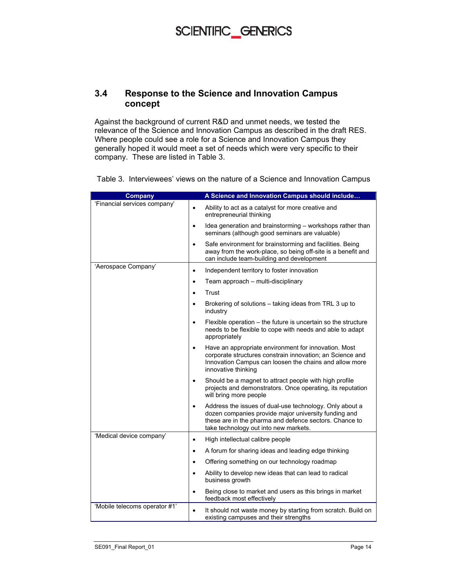#### **3.4 Response to the Science and Innovation Campus concept**

Against the background of current R&D and unmet needs, we tested the relevance of the Science and Innovation Campus as described in the draft RES. Where people could see a role for a Science and Innovation Campus they generally hoped it would meet a set of needs which were very specific to their company. These are listed in Table 3.

Table 3. Interviewees' views on the nature of a Science and Innovation Campus

| <b>Company</b>                | A Science and Innovation Campus should include                                                                                                                                                                                  |
|-------------------------------|---------------------------------------------------------------------------------------------------------------------------------------------------------------------------------------------------------------------------------|
| 'Financial services company'  | Ability to act as a catalyst for more creative and<br>$\bullet$<br>entrepreneurial thinking                                                                                                                                     |
|                               | Idea generation and brainstorming - workshops rather than<br>$\bullet$<br>seminars (although good seminars are valuable)                                                                                                        |
|                               | Safe environment for brainstorming and facilities. Being<br>$\bullet$<br>away from the work-place, so being off-site is a benefit and<br>can include team-building and development                                              |
| 'Aerospace Company'           | Independent territory to foster innovation<br>$\bullet$                                                                                                                                                                         |
|                               | Team approach - multi-disciplinary<br>$\bullet$                                                                                                                                                                                 |
|                               | Trust<br>$\bullet$                                                                                                                                                                                                              |
|                               | Brokering of solutions – taking ideas from TRL 3 up to<br>$\bullet$<br>industry                                                                                                                                                 |
|                               | Flexible operation – the future is uncertain so the structure<br>$\bullet$<br>needs to be flexible to cope with needs and able to adapt<br>appropriately                                                                        |
|                               | Have an appropriate environment for innovation. Most<br>$\bullet$<br>corporate structures constrain innovation; an Science and<br>Innovation Campus can loosen the chains and allow more<br>innovative thinking                 |
|                               | Should be a magnet to attract people with high profile<br>$\bullet$<br>projects and demonstrators. Once operating, its reputation<br>will bring more people                                                                     |
|                               | Address the issues of dual-use technology. Only about a<br>$\bullet$<br>dozen companies provide major university funding and<br>these are in the pharma and defence sectors. Chance to<br>take technology out into new markets. |
| 'Medical device company'      | High intellectual calibre people<br>$\bullet$                                                                                                                                                                                   |
|                               | A forum for sharing ideas and leading edge thinking<br>$\bullet$                                                                                                                                                                |
|                               | Offering something on our technology roadmap<br>$\bullet$                                                                                                                                                                       |
|                               | Ability to develop new ideas that can lead to radical<br>$\bullet$<br>business growth                                                                                                                                           |
|                               | Being close to market and users as this brings in market<br>feedback most effectively                                                                                                                                           |
| 'Mobile telecoms operator #1' | It should not waste money by starting from scratch. Build on<br>$\bullet$<br>existing campuses and their strengths                                                                                                              |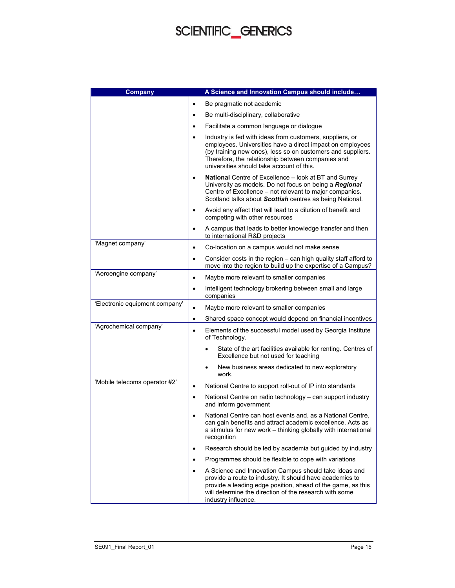| <b>Company</b>                 | A Science and Innovation Campus should include                                                                                                                                                                                                                                                      |
|--------------------------------|-----------------------------------------------------------------------------------------------------------------------------------------------------------------------------------------------------------------------------------------------------------------------------------------------------|
|                                | Be pragmatic not academic                                                                                                                                                                                                                                                                           |
|                                | Be multi-disciplinary, collaborative<br>٠                                                                                                                                                                                                                                                           |
|                                | Facilitate a common language or dialogue<br>٠                                                                                                                                                                                                                                                       |
|                                | Industry is fed with ideas from customers, suppliers, or<br>$\bullet$<br>employees. Universities have a direct impact on employees<br>(by training new ones), less so on customers and suppliers.<br>Therefore, the relationship between companies and<br>universities should take account of this. |
|                                | National Centre of Excellence - look at BT and Surrey<br>$\bullet$<br>University as models. Do not focus on being a Regional<br>Centre of Excellence – not relevant to major companies.<br>Scotland talks about Scottish centres as being National.                                                 |
|                                | Avoid any effect that will lead to a dilution of benefit and<br>$\bullet$<br>competing with other resources                                                                                                                                                                                         |
|                                | A campus that leads to better knowledge transfer and then<br>$\bullet$<br>to international R&D projects                                                                                                                                                                                             |
| 'Magnet company'               | Co-location on a campus would not make sense<br>$\bullet$                                                                                                                                                                                                                                           |
|                                | Consider costs in the region – can high quality staff afford to<br>٠<br>move into the region to build up the expertise of a Campus?                                                                                                                                                                 |
| 'Aeroengine company'           | Maybe more relevant to smaller companies<br>$\bullet$                                                                                                                                                                                                                                               |
|                                | Intelligent technology brokering between small and large<br>$\bullet$<br>companies                                                                                                                                                                                                                  |
| 'Electronic equipment company' | Maybe more relevant to smaller companies<br>$\bullet$                                                                                                                                                                                                                                               |
|                                | Shared space concept would depend on financial incentives<br>$\bullet$                                                                                                                                                                                                                              |
| 'Agrochemical company'         | Elements of the successful model used by Georgia Institute<br>$\bullet$<br>of Technology.                                                                                                                                                                                                           |
|                                | State of the art facilities available for renting. Centres of<br>Excellence but not used for teaching                                                                                                                                                                                               |
|                                | New business areas dedicated to new exploratory<br>work.                                                                                                                                                                                                                                            |
| 'Mobile telecoms operator #2'  | National Centre to support roll-out of IP into standards<br>$\bullet$                                                                                                                                                                                                                               |
|                                | National Centre on radio technology - can support industry<br>$\bullet$<br>and inform government                                                                                                                                                                                                    |
|                                | National Centre can host events and, as a National Centre,<br>٠<br>can gain benefits and attract academic excellence. Acts as<br>a stimulus for new work – thinking globally with international<br>recognition                                                                                      |
|                                | Research should be led by academia but guided by industry<br>$\bullet$                                                                                                                                                                                                                              |
|                                | Programmes should be flexible to cope with variations                                                                                                                                                                                                                                               |
|                                | A Science and Innovation Campus should take ideas and<br>provide a route to industry. It should have academics to<br>provide a leading edge position, ahead of the game, as this<br>will determine the direction of the research with some<br>industry influence.                                   |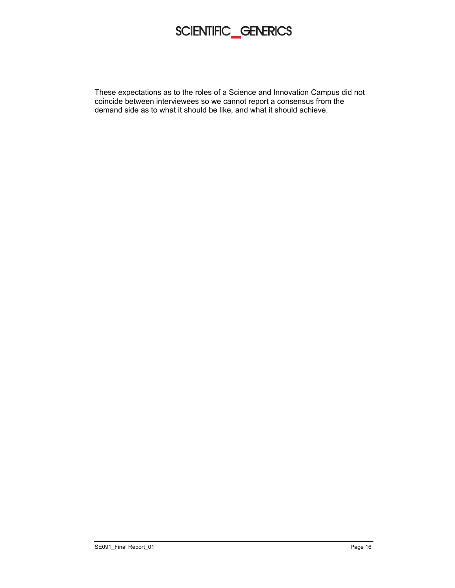These expectations as to the roles of a Science and Innovation Campus did not coincide between interviewees so we cannot report a consensus from the demand side as to what it should be like, and what it should achieve.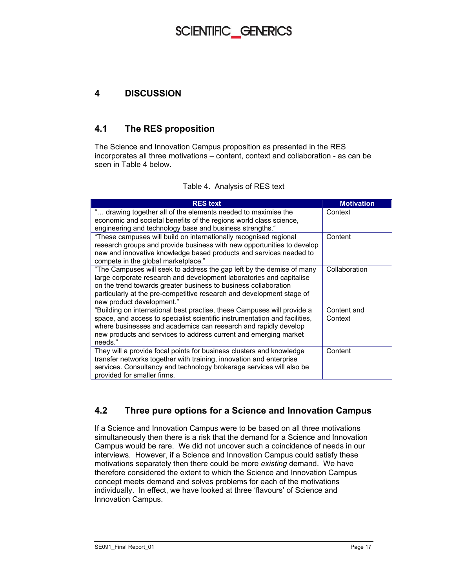#### **4 DISCUSSION**

#### **4.1 The RES proposition**

The Science and Innovation Campus proposition as presented in the RES incorporates all three motivations – content, context and collaboration - as can be seen in Table 4 below.

#### Table 4. Analysis of RES text

| <b>RES</b> text                                                                                                                                                                                                                                                                                                        | <b>Motivation</b>      |
|------------------------------------------------------------------------------------------------------------------------------------------------------------------------------------------------------------------------------------------------------------------------------------------------------------------------|------------------------|
| " drawing together all of the elements needed to maximise the<br>economic and societal benefits of the regions world class science,<br>engineering and technology base and business strengths."                                                                                                                        | Context                |
| "These campuses will build on internationally recognised regional<br>research groups and provide business with new opportunities to develop<br>new and innovative knowledge based products and services needed to<br>compete in the global marketplace."                                                               | Content                |
| "The Campuses will seek to address the gap left by the demise of many<br>large corporate research and development laboratories and capitalise<br>on the trend towards greater business to business collaboration<br>particularly at the pre-competitive research and development stage of<br>new product development." | Collaboration          |
| "Building on international best practise, these Campuses will provide a<br>space, and access to specialist scientific instrumentation and facilities,<br>where businesses and academics can research and rapidly develop<br>new products and services to address current and emerging market<br>needs."                | Content and<br>Context |
| They will a provide focal points for business clusters and knowledge<br>transfer networks together with training, innovation and enterprise<br>services. Consultancy and technology brokerage services will also be<br>provided for smaller firms.                                                                     | Content                |

#### **4.2 Three pure options for a Science and Innovation Campus**

If a Science and Innovation Campus were to be based on all three motivations simultaneously then there is a risk that the demand for a Science and Innovation Campus would be rare. We did not uncover such a coincidence of needs in our interviews. However, if a Science and Innovation Campus could satisfy these motivations separately then there could be more *existing* demand. We have therefore considered the extent to which the Science and Innovation Campus concept meets demand and solves problems for each of the motivations individually. In effect, we have looked at three 'flavours' of Science and Innovation Campus.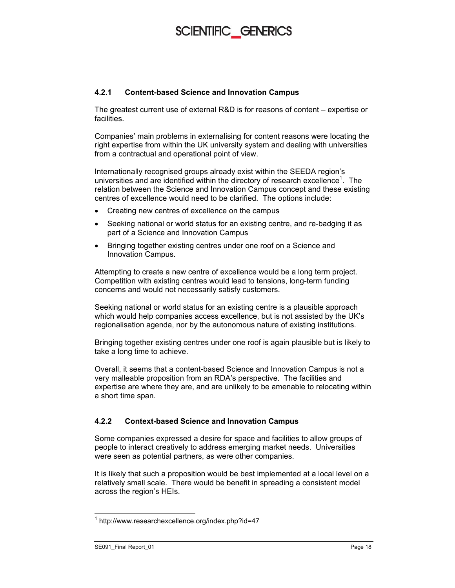#### **4.2.1 Content-based Science and Innovation Campus**

The greatest current use of external R&D is for reasons of content – expertise or facilities.

Companies' main problems in externalising for content reasons were locating the right expertise from within the UK university system and dealing with universities from a contractual and operational point of view.

Internationally recognised groups already exist within the SEEDA region's universities and are identified within the directory of research excellence<sup>1</sup>. The relation between the Science and Innovation Campus concept and these existing centres of excellence would need to be clarified. The options include:

- Creating new centres of excellence on the campus
- Seeking national or world status for an existing centre, and re-badging it as part of a Science and Innovation Campus
- Bringing together existing centres under one roof on a Science and Innovation Campus.

Attempting to create a new centre of excellence would be a long term project. Competition with existing centres would lead to tensions, long-term funding concerns and would not necessarily satisfy customers.

Seeking national or world status for an existing centre is a plausible approach which would help companies access excellence, but is not assisted by the UK's regionalisation agenda, nor by the autonomous nature of existing institutions.

Bringing together existing centres under one roof is again plausible but is likely to take a long time to achieve.

Overall, it seems that a content-based Science and Innovation Campus is not a very malleable proposition from an RDA's perspective. The facilities and expertise are where they are, and are unlikely to be amenable to relocating within a short time span.

#### **4.2.2 Context-based Science and Innovation Campus**

Some companies expressed a desire for space and facilities to allow groups of people to interact creatively to address emerging market needs. Universities were seen as potential partners, as were other companies.

It is likely that such a proposition would be best implemented at a local level on a relatively small scale. There would be benefit in spreading a consistent model across the region's HEIs.

 $\overline{a}$ 

<sup>1</sup> http://www.researchexcellence.org/index.php?id=47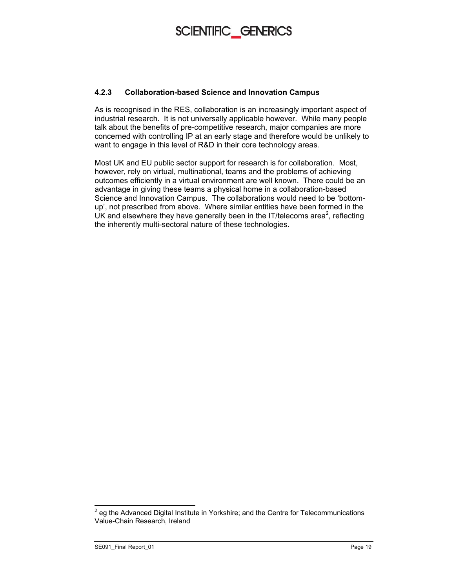

#### **4.2.3 Collaboration-based Science and Innovation Campus**

As is recognised in the RES, collaboration is an increasingly important aspect of industrial research. It is not universally applicable however. While many people talk about the benefits of pre-competitive research, major companies are more concerned with controlling IP at an early stage and therefore would be unlikely to want to engage in this level of R&D in their core technology areas.

Most UK and EU public sector support for research is for collaboration. Most, however, rely on virtual, multinational, teams and the problems of achieving outcomes efficiently in a virtual environment are well known. There could be an advantage in giving these teams a physical home in a collaboration-based Science and Innovation Campus. The collaborations would need to be 'bottomup', not prescribed from above. Where similar entities have been formed in the UK and elsewhere they have generally been in the IT/telecoms area<sup>2</sup>, reflecting the inherently multi-sectoral nature of these technologies.

endoned Digital Institute in Yorkshire; and the Centre for Telecommunications<br>and the Advanced Digital Institute in Yorkshire; and the Centre for Telecommunications Value-Chain Research, Ireland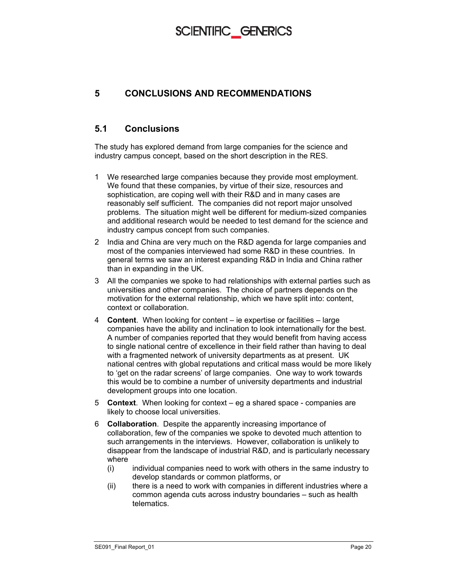#### **5 CONCLUSIONS AND RECOMMENDATIONS**

#### **5.1 Conclusions**

The study has explored demand from large companies for the science and industry campus concept, based on the short description in the RES.

- 1 We researched large companies because they provide most employment. We found that these companies, by virtue of their size, resources and sophistication, are coping well with their R&D and in many cases are reasonably self sufficient. The companies did not report major unsolved problems. The situation might well be different for medium-sized companies and additional research would be needed to test demand for the science and industry campus concept from such companies.
- 2 India and China are very much on the R&D agenda for large companies and most of the companies interviewed had some R&D in these countries. In general terms we saw an interest expanding R&D in India and China rather than in expanding in the UK.
- 3 All the companies we spoke to had relationships with external parties such as universities and other companies. The choice of partners depends on the motivation for the external relationship, which we have split into: content, context or collaboration.
- 4 **Content**. When looking for content ie expertise or facilities large companies have the ability and inclination to look internationally for the best. A number of companies reported that they would benefit from having access to single national centre of excellence in their field rather than having to deal with a fragmented network of university departments as at present. UK national centres with global reputations and critical mass would be more likely to 'get on the radar screens' of large companies. One way to work towards this would be to combine a number of university departments and industrial development groups into one location.
- 5 **Context**. When looking for context eg a shared space companies are likely to choose local universities.
- 6 **Collaboration**. Despite the apparently increasing importance of collaboration, few of the companies we spoke to devoted much attention to such arrangements in the interviews. However, collaboration is unlikely to disappear from the landscape of industrial R&D, and is particularly necessary where
	- (i) individual companies need to work with others in the same industry to develop standards or common platforms, or
	- (ii) there is a need to work with companies in different industries where a common agenda cuts across industry boundaries – such as health telematics.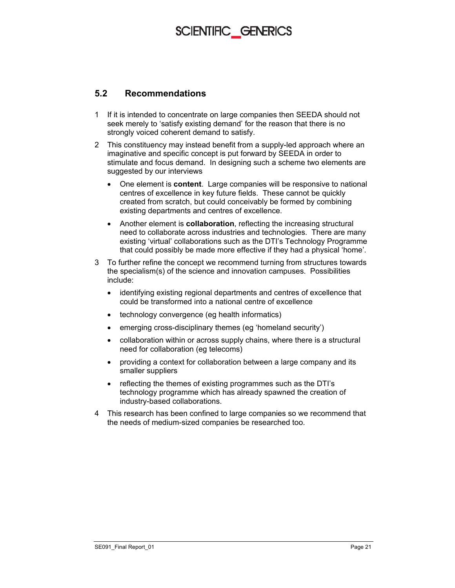#### **5.2 Recommendations**

- 1 If it is intended to concentrate on large companies then SEEDA should not seek merely to 'satisfy existing demand' for the reason that there is no strongly voiced coherent demand to satisfy.
- 2 This constituency may instead benefit from a supply-led approach where an imaginative and specific concept is put forward by SEEDA in order to stimulate and focus demand. In designing such a scheme two elements are suggested by our interviews
	- One element is **content**. Large companies will be responsive to national centres of excellence in key future fields. These cannot be quickly created from scratch, but could conceivably be formed by combining existing departments and centres of excellence.
	- Another element is **collaboration**, reflecting the increasing structural need to collaborate across industries and technologies. There are many existing 'virtual' collaborations such as the DTI's Technology Programme that could possibly be made more effective if they had a physical 'home'.
- 3 To further refine the concept we recommend turning from structures towards the specialism(s) of the science and innovation campuses. Possibilities include:
	- identifying existing regional departments and centres of excellence that could be transformed into a national centre of excellence
	- technology convergence (eg health informatics)
	- emerging cross-disciplinary themes (eg 'homeland security')
	- collaboration within or across supply chains, where there is a structural need for collaboration (eg telecoms)
	- providing a context for collaboration between a large company and its smaller suppliers
	- reflecting the themes of existing programmes such as the DTI's technology programme which has already spawned the creation of industry-based collaborations.
- 4 This research has been confined to large companies so we recommend that the needs of medium-sized companies be researched too.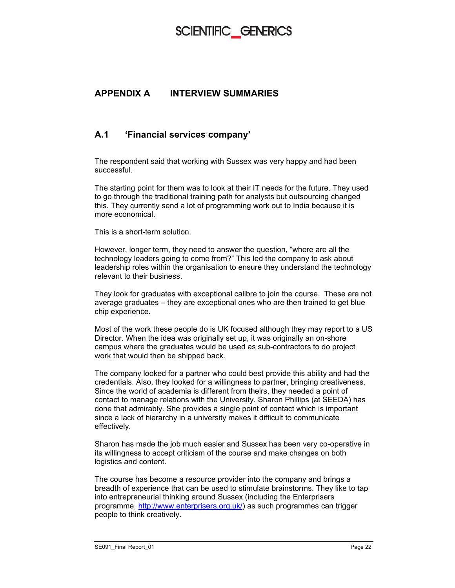#### **APPENDIX A INTERVIEW SUMMARIES**

#### **A.1 'Financial services company'**

The respondent said that working with Sussex was very happy and had been successful.

The starting point for them was to look at their IT needs for the future. They used to go through the traditional training path for analysts but outsourcing changed this. They currently send a lot of programming work out to India because it is more economical.

This is a short-term solution.

However, longer term, they need to answer the question, "where are all the technology leaders going to come from?" This led the company to ask about leadership roles within the organisation to ensure they understand the technology relevant to their business.

They look for graduates with exceptional calibre to join the course. These are not average graduates – they are exceptional ones who are then trained to get blue chip experience.

Most of the work these people do is UK focused although they may report to a US Director. When the idea was originally set up, it was originally an on-shore campus where the graduates would be used as sub-contractors to do project work that would then be shipped back.

The company looked for a partner who could best provide this ability and had the credentials. Also, they looked for a willingness to partner, bringing creativeness. Since the world of academia is different from theirs, they needed a point of contact to manage relations with the University. Sharon Phillips (at SEEDA) has done that admirably. She provides a single point of contact which is important since a lack of hierarchy in a university makes it difficult to communicate effectively.

Sharon has made the job much easier and Sussex has been very co-operative in its willingness to accept criticism of the course and make changes on both logistics and content.

The course has become a resource provider into the company and brings a breadth of experience that can be used to stimulate brainstorms. They like to tap into entrepreneurial thinking around Sussex (including the Enterprisers programme, http://www.enterprisers.org.uk/) as such programmes can trigger people to think creatively.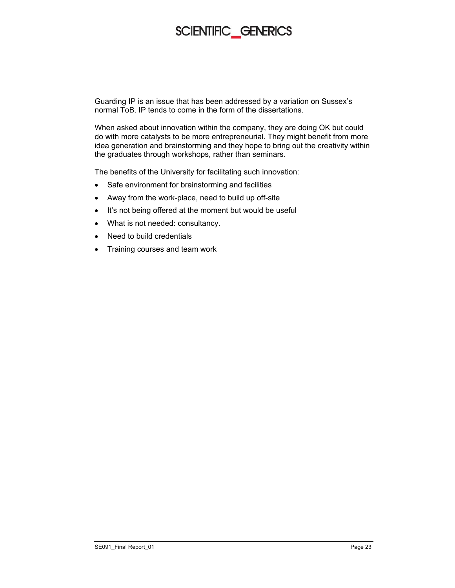Guarding IP is an issue that has been addressed by a variation on Sussex's normal ToB. IP tends to come in the form of the dissertations.

When asked about innovation within the company, they are doing OK but could do with more catalysts to be more entrepreneurial. They might benefit from more idea generation and brainstorming and they hope to bring out the creativity within the graduates through workshops, rather than seminars.

The benefits of the University for facilitating such innovation:

- Safe environment for brainstorming and facilities
- Away from the work-place, need to build up off-site
- It's not being offered at the moment but would be useful
- What is not needed: consultancy.
- Need to build credentials
- Training courses and team work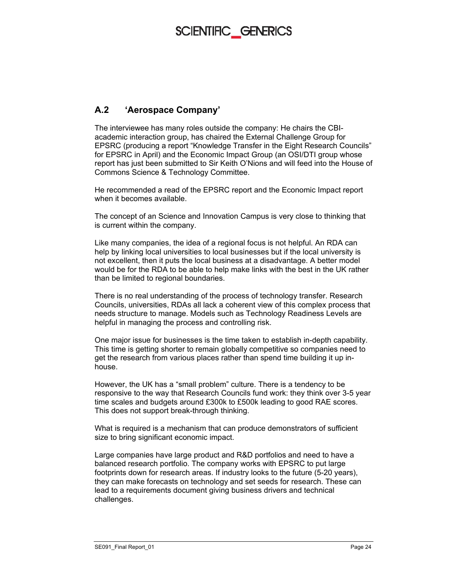#### **A.2 'Aerospace Company'**

The interviewee has many roles outside the company: He chairs the CBIacademic interaction group, has chaired the External Challenge Group for EPSRC (producing a report "Knowledge Transfer in the Eight Research Councils" for EPSRC in April) and the Economic Impact Group (an OSI/DTI group whose report has just been submitted to Sir Keith O'Nions and will feed into the House of Commons Science & Technology Committee.

He recommended a read of the EPSRC report and the Economic Impact report when it becomes available.

The concept of an Science and Innovation Campus is very close to thinking that is current within the company.

Like many companies, the idea of a regional focus is not helpful. An RDA can help by linking local universities to local businesses but if the local university is not excellent, then it puts the local business at a disadvantage. A better model would be for the RDA to be able to help make links with the best in the UK rather than be limited to regional boundaries.

There is no real understanding of the process of technology transfer. Research Councils, universities, RDAs all lack a coherent view of this complex process that needs structure to manage. Models such as Technology Readiness Levels are helpful in managing the process and controlling risk.

One major issue for businesses is the time taken to establish in-depth capability. This time is getting shorter to remain globally competitive so companies need to get the research from various places rather than spend time building it up inhouse.

However, the UK has a "small problem" culture. There is a tendency to be responsive to the way that Research Councils fund work: they think over 3-5 year time scales and budgets around £300k to £500k leading to good RAE scores. This does not support break-through thinking.

What is required is a mechanism that can produce demonstrators of sufficient size to bring significant economic impact.

Large companies have large product and R&D portfolios and need to have a balanced research portfolio. The company works with EPSRC to put large footprints down for research areas. If industry looks to the future (5-20 years), they can make forecasts on technology and set seeds for research. These can lead to a requirements document giving business drivers and technical challenges.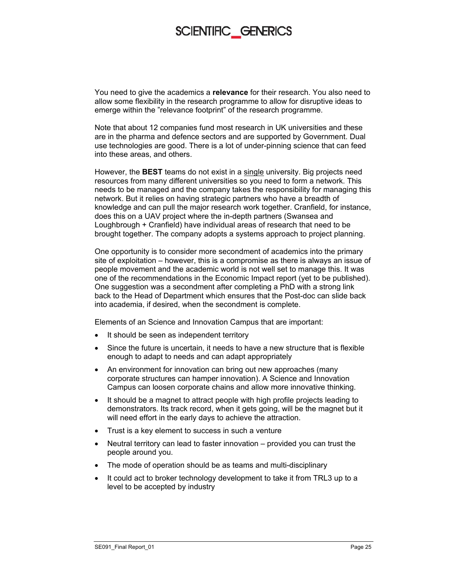You need to give the academics a **relevance** for their research. You also need to allow some flexibility in the research programme to allow for disruptive ideas to emerge within the "relevance footprint" of the research programme.

Note that about 12 companies fund most research in UK universities and these are in the pharma and defence sectors and are supported by Government. Dual use technologies are good. There is a lot of under-pinning science that can feed into these areas, and others.

However, the **BEST** teams do not exist in a single university. Big projects need resources from many different universities so you need to form a network. This needs to be managed and the company takes the responsibility for managing this network. But it relies on having strategic partners who have a breadth of knowledge and can pull the major research work together. Cranfield, for instance, does this on a UAV project where the in-depth partners (Swansea and Loughbrough + Cranfield) have individual areas of research that need to be brought together. The company adopts a systems approach to project planning.

One opportunity is to consider more secondment of academics into the primary site of exploitation – however, this is a compromise as there is always an issue of people movement and the academic world is not well set to manage this. It was one of the recommendations in the Economic Impact report (yet to be published). One suggestion was a secondment after completing a PhD with a strong link back to the Head of Department which ensures that the Post-doc can slide back into academia, if desired, when the secondment is complete.

Elements of an Science and Innovation Campus that are important:

- It should be seen as independent territory
- Since the future is uncertain, it needs to have a new structure that is flexible enough to adapt to needs and can adapt appropriately
- An environment for innovation can bring out new approaches (many corporate structures can hamper innovation). A Science and Innovation Campus can loosen corporate chains and allow more innovative thinking.
- It should be a magnet to attract people with high profile projects leading to demonstrators. Its track record, when it gets going, will be the magnet but it will need effort in the early days to achieve the attraction.
- Trust is a key element to success in such a venture
- Neutral territory can lead to faster innovation provided you can trust the people around you.
- The mode of operation should be as teams and multi-disciplinary
- It could act to broker technology development to take it from TRL3 up to a level to be accepted by industry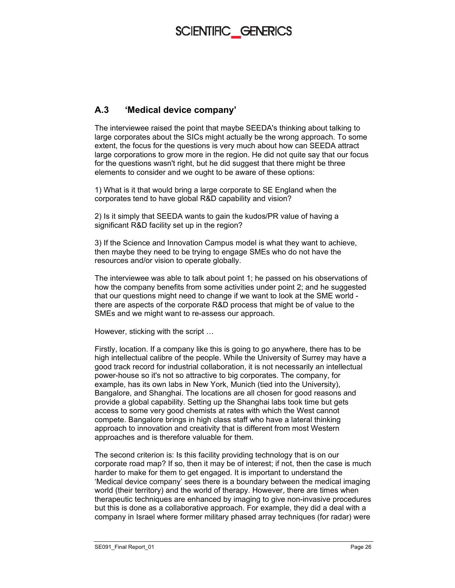#### **A.3 'Medical device company'**

The interviewee raised the point that maybe SEEDA's thinking about talking to large corporates about the SICs might actually be the wrong approach. To some extent, the focus for the questions is very much about how can SEEDA attract large corporations to grow more in the region. He did not quite say that our focus for the questions wasn't right, but he did suggest that there might be three elements to consider and we ought to be aware of these options:

1) What is it that would bring a large corporate to SE England when the corporates tend to have global R&D capability and vision?

2) Is it simply that SEEDA wants to gain the kudos/PR value of having a significant R&D facility set up in the region?

3) If the Science and Innovation Campus model is what they want to achieve, then maybe they need to be trying to engage SMEs who do not have the resources and/or vision to operate globally.

The interviewee was able to talk about point 1; he passed on his observations of how the company benefits from some activities under point 2; and he suggested that our questions might need to change if we want to look at the SME world there are aspects of the corporate R&D process that might be of value to the SMEs and we might want to re-assess our approach.

However, sticking with the script …

Firstly, location. If a company like this is going to go anywhere, there has to be high intellectual calibre of the people. While the University of Surrey may have a good track record for industrial collaboration, it is not necessarily an intellectual power-house so it's not so attractive to big corporates. The company, for example, has its own labs in New York, Munich (tied into the University), Bangalore, and Shanghai. The locations are all chosen for good reasons and provide a global capability. Setting up the Shanghai labs took time but gets access to some very good chemists at rates with which the West cannot compete. Bangalore brings in high class staff who have a lateral thinking approach to innovation and creativity that is different from most Western approaches and is therefore valuable for them.

The second criterion is: Is this facility providing technology that is on our corporate road map? If so, then it may be of interest; if not, then the case is much harder to make for them to get engaged. It is important to understand the 'Medical device company' sees there is a boundary between the medical imaging world (their territory) and the world of therapy. However, there are times when therapeutic techniques are enhanced by imaging to give non-invasive procedures but this is done as a collaborative approach. For example, they did a deal with a company in Israel where former military phased array techniques (for radar) were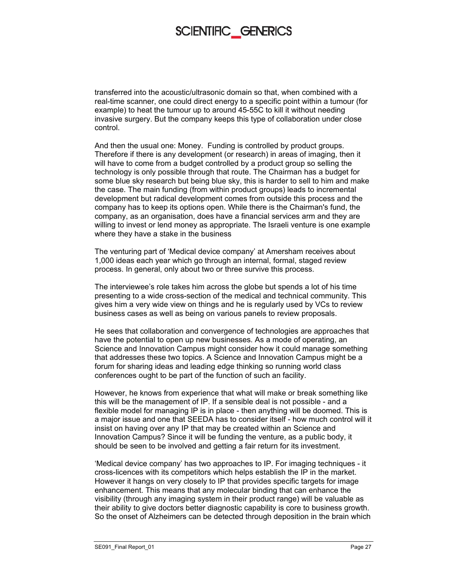transferred into the acoustic/ultrasonic domain so that, when combined with a real-time scanner, one could direct energy to a specific point within a tumour (for example) to heat the tumour up to around 45-55C to kill it without needing invasive surgery. But the company keeps this type of collaboration under close control.

And then the usual one: Money. Funding is controlled by product groups. Therefore if there is any development (or research) in areas of imaging, then it will have to come from a budget controlled by a product group so selling the technology is only possible through that route. The Chairman has a budget for some blue sky research but being blue sky, this is harder to sell to him and make the case. The main funding (from within product groups) leads to incremental development but radical development comes from outside this process and the company has to keep its options open. While there is the Chairman's fund, the company, as an organisation, does have a financial services arm and they are willing to invest or lend money as appropriate. The Israeli venture is one example where they have a stake in the business

The venturing part of 'Medical device company' at Amersham receives about 1,000 ideas each year which go through an internal, formal, staged review process. In general, only about two or three survive this process.

The interviewee's role takes him across the globe but spends a lot of his time presenting to a wide cross-section of the medical and technical community. This gives him a very wide view on things and he is regularly used by VCs to review business cases as well as being on various panels to review proposals.

He sees that collaboration and convergence of technologies are approaches that have the potential to open up new businesses. As a mode of operating, an Science and Innovation Campus might consider how it could manage something that addresses these two topics. A Science and Innovation Campus might be a forum for sharing ideas and leading edge thinking so running world class conferences ought to be part of the function of such an facility.

However, he knows from experience that what will make or break something like this will be the management of IP. If a sensible deal is not possible - and a flexible model for managing IP is in place - then anything will be doomed. This is a major issue and one that SEEDA has to consider itself - how much control will it insist on having over any IP that may be created within an Science and Innovation Campus? Since it will be funding the venture, as a public body, it should be seen to be involved and getting a fair return for its investment.

'Medical device company' has two approaches to IP. For imaging techniques - it cross-licences with its competitors which helps establish the IP in the market. However it hangs on very closely to IP that provides specific targets for image enhancement. This means that any molecular binding that can enhance the visibility (through any imaging system in their product range) will be valuable as their ability to give doctors better diagnostic capability is core to business growth. So the onset of Alzheimers can be detected through deposition in the brain which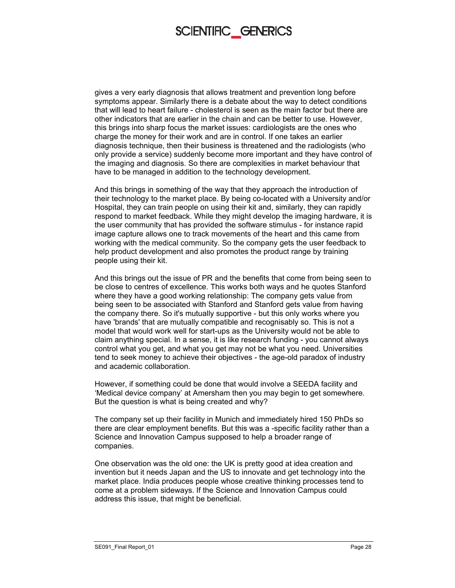gives a very early diagnosis that allows treatment and prevention long before symptoms appear. Similarly there is a debate about the way to detect conditions that will lead to heart failure - cholesterol is seen as the main factor but there are other indicators that are earlier in the chain and can be better to use. However, this brings into sharp focus the market issues: cardiologists are the ones who charge the money for their work and are in control. If one takes an earlier diagnosis technique, then their business is threatened and the radiologists (who only provide a service) suddenly become more important and they have control of the imaging and diagnosis. So there are complexities in market behaviour that have to be managed in addition to the technology development.

And this brings in something of the way that they approach the introduction of their technology to the market place. By being co-located with a University and/or Hospital, they can train people on using their kit and, similarly, they can rapidly respond to market feedback. While they might develop the imaging hardware, it is the user community that has provided the software stimulus - for instance rapid image capture allows one to track movements of the heart and this came from working with the medical community. So the company gets the user feedback to help product development and also promotes the product range by training people using their kit.

And this brings out the issue of PR and the benefits that come from being seen to be close to centres of excellence. This works both ways and he quotes Stanford where they have a good working relationship: The company gets value from being seen to be associated with Stanford and Stanford gets value from having the company there. So it's mutually supportive - but this only works where you have 'brands' that are mutually compatible and recognisably so. This is not a model that would work well for start-ups as the University would not be able to claim anything special. In a sense, it is like research funding - you cannot always control what you get, and what you get may not be what you need. Universities tend to seek money to achieve their objectives - the age-old paradox of industry and academic collaboration.

However, if something could be done that would involve a SEEDA facility and 'Medical device company' at Amersham then you may begin to get somewhere. But the question is what is being created and why?

The company set up their facility in Munich and immediately hired 150 PhDs so there are clear employment benefits. But this was a -specific facility rather than a Science and Innovation Campus supposed to help a broader range of companies.

One observation was the old one: the UK is pretty good at idea creation and invention but it needs Japan and the US to innovate and get technology into the market place. India produces people whose creative thinking processes tend to come at a problem sideways. If the Science and Innovation Campus could address this issue, that might be beneficial.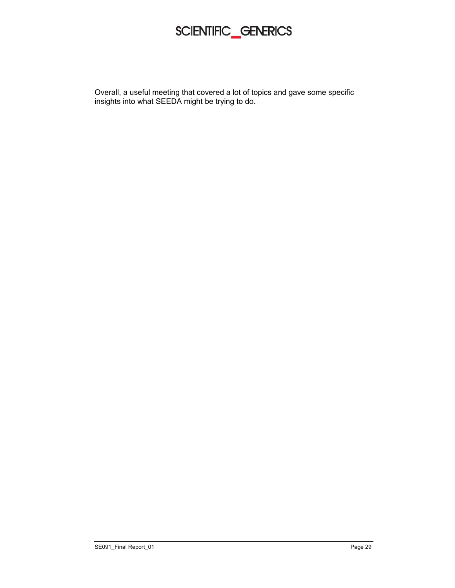Overall, a useful meeting that covered a lot of topics and gave some specific insights into what SEEDA might be trying to do.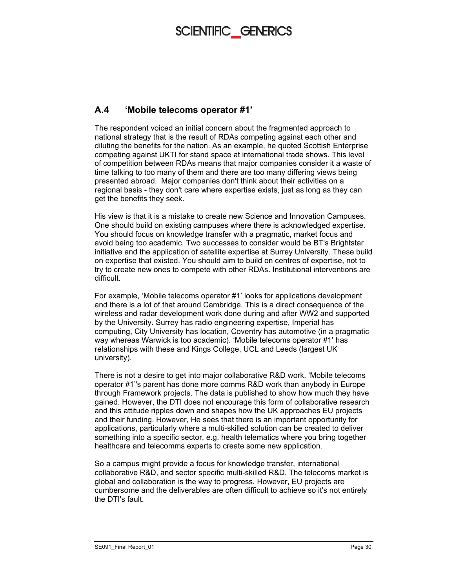#### **A.4 'Mobile telecoms operator #1'**

The respondent voiced an initial concern about the fragmented approach to national strategy that is the result of RDAs competing against each other and diluting the benefits for the nation. As an example, he quoted Scottish Enterprise competing against UKTI for stand space at international trade shows. This level of competition between RDAs means that major companies consider it a waste of time talking to too many of them and there are too many differing views being presented abroad. Major companies don't think about their activities on a regional basis - they don't care where expertise exists, just as long as they can get the benefits they seek.

His view is that it is a mistake to create new Science and Innovation Campuses. One should build on existing campuses where there is acknowledged expertise. You should focus on knowledge transfer with a pragmatic, market focus and avoid being too academic. Two successes to consider would be BT's Brightstar initiative and the application of satellite expertise at Surrey University. These build on expertise that existed. You should aim to build on centres of expertise, not to try to create new ones to compete with other RDAs. Institutional interventions are difficult.

For example, 'Mobile telecoms operator #1' looks for applications development and there is a lot of that around Cambridge. This is a direct consequence of the wireless and radar development work done during and after WW2 and supported by the University. Surrey has radio engineering expertise, Imperial has computing, City University has location, Coventry has automotive (in a pragmatic way whereas Warwick is too academic). 'Mobile telecoms operator #1' has relationships with these and Kings College, UCL and Leeds (largest UK university).

There is not a desire to get into major collaborative R&D work. 'Mobile telecoms operator #1''s parent has done more comms R&D work than anybody in Europe through Framework projects. The data is published to show how much they have gained. However, the DTI does not encourage this form of collaborative research and this attitude ripples down and shapes how the UK approaches EU projects and their funding. However, He sees that there is an important opportunity for applications, particularly where a multi-skilled solution can be created to deliver something into a specific sector, e.g. health telematics where you bring together healthcare and telecomms experts to create some new application.

So a campus might provide a focus for knowledge transfer, international collaborative R&D, and sector specific multi-skilled R&D. The telecoms market is global and collaboration is the way to progress. However, EU projects are cumbersome and the deliverables are often difficult to achieve so it's not entirely the DTI's fault.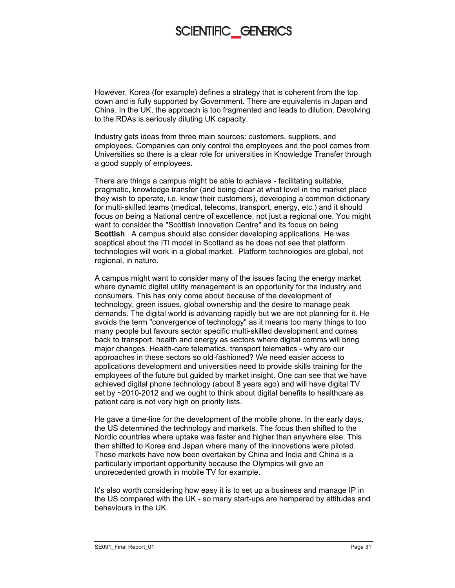However, Korea (for example) defines a strategy that is coherent from the top down and is fully supported by Government. There are equivalents in Japan and China. In the UK, the approach is too fragmented and leads to dilution. Devolving to the RDAs is seriously diluting UK capacity.

Industry gets ideas from three main sources: customers, suppliers, and employees. Companies can only control the employees and the pool comes from Universities so there is a clear role for universities in Knowledge Transfer through a good supply of employees.

There are things a campus might be able to achieve - facilitating suitable, pragmatic, knowledge transfer (and being clear at what level in the market place they wish to operate, i.e. know their customers), developing a common dictionary for multi-skilled teams (medical, telecoms, transport, energy, etc.) and it should focus on being a National centre of excellence, not just a regional one. You might want to consider the "Scottish Innovation Centre" and its focus on being **Scottish**. A campus should also consider developing applications. He was sceptical about the ITI model in Scotland as he does not see that platform technologies will work in a global market. Platform technologies are global, not regional, in nature.

A campus might want to consider many of the issues facing the energy market where dynamic digital utility management is an opportunity for the industry and consumers. This has only come about because of the development of technology, green issues, global ownership and the desire to manage peak demands. The digital world is advancing rapidly but we are not planning for it. He avoids the term "convergence of technology" as it means too many things to too many people but favours sector specific multi-skilled development and comes back to transport, health and energy as sectors where digital comms will bring major changes. Health-care telematics, transport telematics - why are our approaches in these sectors so old-fashioned? We need easier access to applications development and universities need to provide skills training for the employees of the future but guided by market insight. One can see that we have achieved digital phone technology (about 8 years ago) and will have digital TV set by ~2010-2012 and we ought to think about digital benefits to healthcare as patient care is not very high on priority lists.

He gave a time-line for the development of the mobile phone. In the early days, the US determined the technology and markets. The focus then shifted to the Nordic countries where uptake was faster and higher than anywhere else. This then shifted to Korea and Japan where many of the innovations were piloted. These markets have now been overtaken by China and India and China is a particularly important opportunity because the Olympics will give an unprecedented growth in mobile TV for example.

It's also worth considering how easy it is to set up a business and manage IP in the US compared with the UK - so many start-ups are hampered by attitudes and behaviours in the UK.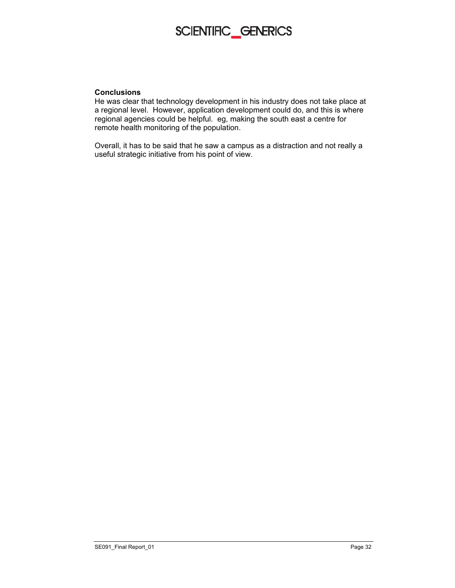

#### **Conclusions**

He was clear that technology development in his industry does not take place at a regional level. However, application development could do, and this is where regional agencies could be helpful. eg, making the south east a centre for remote health monitoring of the population.

Overall, it has to be said that he saw a campus as a distraction and not really a useful strategic initiative from his point of view.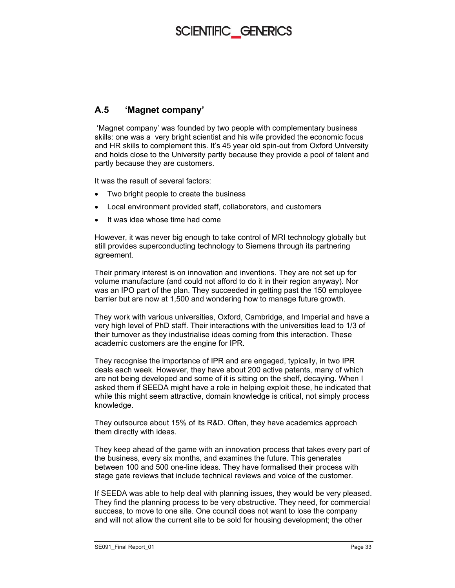#### **A.5 'Magnet company'**

 'Magnet company' was founded by two people with complementary business skills: one was a very bright scientist and his wife provided the economic focus and HR skills to complement this. It's 45 year old spin-out from Oxford University and holds close to the University partly because they provide a pool of talent and partly because they are customers.

It was the result of several factors:

- Two bright people to create the business
- Local environment provided staff, collaborators, and customers
- It was idea whose time had come

However, it was never big enough to take control of MRI technology globally but still provides superconducting technology to Siemens through its partnering agreement.

Their primary interest is on innovation and inventions. They are not set up for volume manufacture (and could not afford to do it in their region anyway). Nor was an IPO part of the plan. They succeeded in getting past the 150 employee barrier but are now at 1,500 and wondering how to manage future growth.

They work with various universities, Oxford, Cambridge, and Imperial and have a very high level of PhD staff. Their interactions with the universities lead to 1/3 of their turnover as they industrialise ideas coming from this interaction. These academic customers are the engine for IPR.

They recognise the importance of IPR and are engaged, typically, in two IPR deals each week. However, they have about 200 active patents, many of which are not being developed and some of it is sitting on the shelf, decaying. When I asked them if SEEDA might have a role in helping exploit these, he indicated that while this might seem attractive, domain knowledge is critical, not simply process knowledge.

They outsource about 15% of its R&D. Often, they have academics approach them directly with ideas.

They keep ahead of the game with an innovation process that takes every part of the business, every six months, and examines the future. This generates between 100 and 500 one-line ideas. They have formalised their process with stage gate reviews that include technical reviews and voice of the customer.

If SEEDA was able to help deal with planning issues, they would be very pleased. They find the planning process to be very obstructive. They need, for commercial success, to move to one site. One council does not want to lose the company and will not allow the current site to be sold for housing development; the other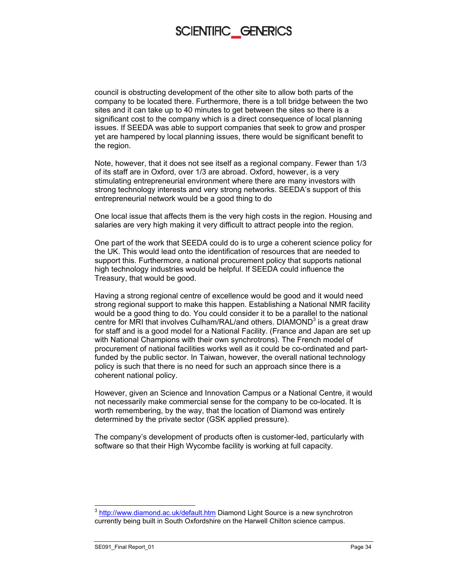council is obstructing development of the other site to allow both parts of the company to be located there. Furthermore, there is a toll bridge between the two sites and it can take up to 40 minutes to get between the sites so there is a significant cost to the company which is a direct consequence of local planning issues. If SEEDA was able to support companies that seek to grow and prosper yet are hampered by local planning issues, there would be significant benefit to the region.

Note, however, that it does not see itself as a regional company. Fewer than 1/3 of its staff are in Oxford, over 1/3 are abroad. Oxford, however, is a very stimulating entrepreneurial environment where there are many investors with strong technology interests and very strong networks. SEEDA's support of this entrepreneurial network would be a good thing to do

One local issue that affects them is the very high costs in the region. Housing and salaries are very high making it very difficult to attract people into the region.

One part of the work that SEEDA could do is to urge a coherent science policy for the UK. This would lead onto the identification of resources that are needed to support this. Furthermore, a national procurement policy that supports national high technology industries would be helpful. If SEEDA could influence the Treasury, that would be good.

Having a strong regional centre of excellence would be good and it would need strong regional support to make this happen. Establishing a National NMR facility would be a good thing to do. You could consider it to be a parallel to the national centre for MRI that involves Culham/RAL/and others. DIAMOND $^3$  is a great draw for staff and is a good model for a National Facility. (France and Japan are set up with National Champions with their own synchrotrons). The French model of procurement of national facilities works well as it could be co-ordinated and partfunded by the public sector. In Taiwan, however, the overall national technology policy is such that there is no need for such an approach since there is a coherent national policy.

However, given an Science and Innovation Campus or a National Centre, it would not necessarily make commercial sense for the company to be co-located. It is worth remembering, by the way, that the location of Diamond was entirely determined by the private sector (GSK applied pressure).

The company's development of products often is customer-led, particularly with software so that their High Wycombe facility is working at full capacity.

 $\overline{a}$ 

<sup>&</sup>lt;sup>3</sup> http://www.diamond.ac.uk/default.htm Diamond Light Source is a new synchrotron currently being built in South Oxfordshire on the Harwell Chilton science campus.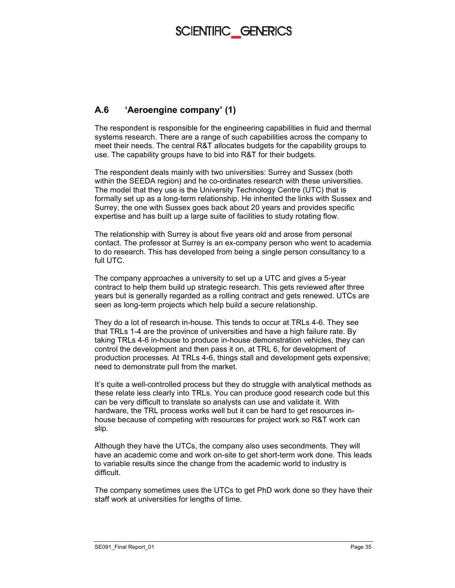#### **A.6 'Aeroengine company' (1)**

The respondent is responsible for the engineering capabilities in fluid and thermal systems research. There are a range of such capabilities across the company to meet their needs. The central R&T allocates budgets for the capability groups to use. The capability groups have to bid into R&T for their budgets.

The respondent deals mainly with two universities: Surrey and Sussex (both within the SEEDA region) and he co-ordinates research with these universities. The model that they use is the University Technology Centre (UTC) that is formally set up as a long-term relationship. He inherited the links with Sussex and Surrey, the one with Sussex goes back about 20 years and provides specific expertise and has built up a large suite of facilities to study rotating flow.

The relationship with Surrey is about five years old and arose from personal contact. The professor at Surrey is an ex-company person who went to academia to do research. This has developed from being a single person consultancy to a full UTC.

The company approaches a university to set up a UTC and gives a 5-year contract to help them build up strategic research. This gets reviewed after three years but is generally regarded as a rolling contract and gets renewed. UTCs are seen as long-term projects which help build a secure relationship.

They do a lot of research in-house. This tends to occur at TRLs 4-6. They see that TRLs 1-4 are the province of universities and have a high failure rate. By taking TRLs 4-6 in-house to produce in-house demonstration vehicles, they can control the development and then pass it on, at TRL 6, for development of production processes. At TRLs 4-6, things stall and development gets expensive; need to demonstrate pull from the market.

It's quite a well-controlled process but they do struggle with analytical methods as these relate less clearly into TRLs. You can produce good research code but this can be very difficult to translate so analysts can use and validate it. With hardware, the TRL process works well but it can be hard to get resources inhouse because of competing with resources for project work so R&T work can slip.

Although they have the UTCs, the company also uses secondments. They will have an academic come and work on-site to get short-term work done. This leads to variable results since the change from the academic world to industry is difficult.

The company sometimes uses the UTCs to get PhD work done so they have their staff work at universities for lengths of time.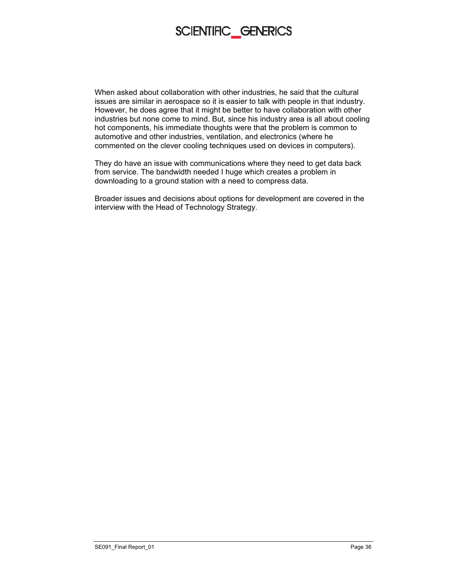

When asked about collaboration with other industries, he said that the cultural issues are similar in aerospace so it is easier to talk with people in that industry. However, he does agree that it might be better to have collaboration with other industries but none come to mind. But, since his industry area is all about cooling hot components, his immediate thoughts were that the problem is common to automotive and other industries, ventilation, and electronics (where he commented on the clever cooling techniques used on devices in computers).

They do have an issue with communications where they need to get data back from service. The bandwidth needed I huge which creates a problem in downloading to a ground station with a need to compress data.

Broader issues and decisions about options for development are covered in the interview with the Head of Technology Strategy.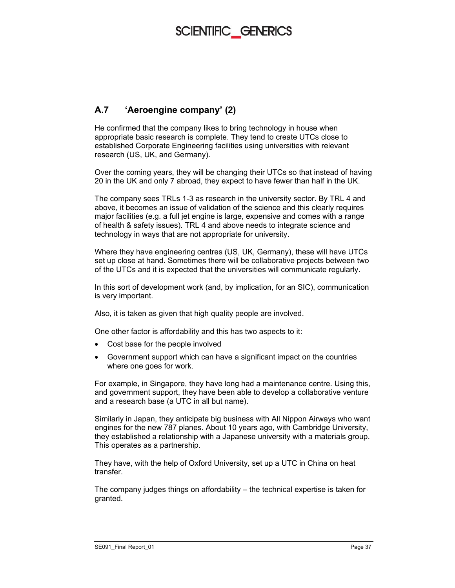#### **A.7 'Aeroengine company' (2)**

He confirmed that the company likes to bring technology in house when appropriate basic research is complete. They tend to create UTCs close to established Corporate Engineering facilities using universities with relevant research (US, UK, and Germany).

Over the coming years, they will be changing their UTCs so that instead of having 20 in the UK and only 7 abroad, they expect to have fewer than half in the UK.

The company sees TRLs 1-3 as research in the university sector. By TRL 4 and above, it becomes an issue of validation of the science and this clearly requires major facilities (e.g. a full jet engine is large, expensive and comes with a range of health & safety issues). TRL 4 and above needs to integrate science and technology in ways that are not appropriate for university.

Where they have engineering centres (US, UK, Germany), these will have UTCs set up close at hand. Sometimes there will be collaborative projects between two of the UTCs and it is expected that the universities will communicate regularly.

In this sort of development work (and, by implication, for an SIC), communication is very important.

Also, it is taken as given that high quality people are involved.

One other factor is affordability and this has two aspects to it:

- Cost base for the people involved
- Government support which can have a significant impact on the countries where one goes for work.

For example, in Singapore, they have long had a maintenance centre. Using this, and government support, they have been able to develop a collaborative venture and a research base (a UTC in all but name).

Similarly in Japan, they anticipate big business with All Nippon Airways who want engines for the new 787 planes. About 10 years ago, with Cambridge University, they established a relationship with a Japanese university with a materials group. This operates as a partnership.

They have, with the help of Oxford University, set up a UTC in China on heat transfer.

The company judges things on affordability – the technical expertise is taken for granted.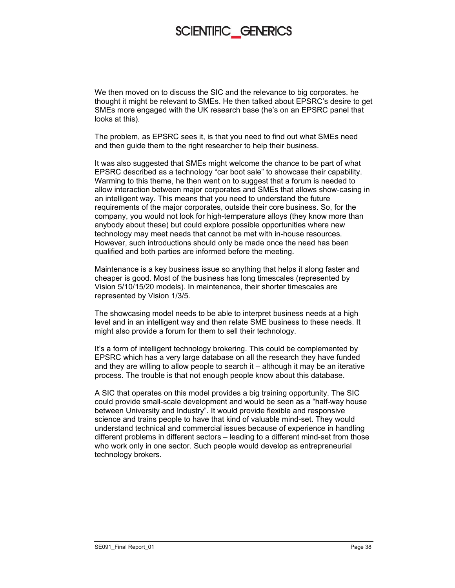We then moved on to discuss the SIC and the relevance to big corporates. he thought it might be relevant to SMEs. He then talked about EPSRC's desire to get SMEs more engaged with the UK research base (he's on an EPSRC panel that looks at this).

The problem, as EPSRC sees it, is that you need to find out what SMEs need and then guide them to the right researcher to help their business.

It was also suggested that SMEs might welcome the chance to be part of what EPSRC described as a technology "car boot sale" to showcase their capability. Warming to this theme, he then went on to suggest that a forum is needed to allow interaction between major corporates and SMEs that allows show-casing in an intelligent way. This means that you need to understand the future requirements of the major corporates, outside their core business. So, for the company, you would not look for high-temperature alloys (they know more than anybody about these) but could explore possible opportunities where new technology may meet needs that cannot be met with in-house resources. However, such introductions should only be made once the need has been qualified and both parties are informed before the meeting.

Maintenance is a key business issue so anything that helps it along faster and cheaper is good. Most of the business has long timescales (represented by Vision 5/10/15/20 models). In maintenance, their shorter timescales are represented by Vision 1/3/5.

The showcasing model needs to be able to interpret business needs at a high level and in an intelligent way and then relate SME business to these needs. It might also provide a forum for them to sell their technology.

It's a form of intelligent technology brokering. This could be complemented by EPSRC which has a very large database on all the research they have funded and they are willing to allow people to search it – although it may be an iterative process. The trouble is that not enough people know about this database.

A SIC that operates on this model provides a big training opportunity. The SIC could provide small-scale development and would be seen as a "half-way house between University and Industry". It would provide flexible and responsive science and trains people to have that kind of valuable mind-set. They would understand technical and commercial issues because of experience in handling different problems in different sectors – leading to a different mind-set from those who work only in one sector. Such people would develop as entrepreneurial technology brokers.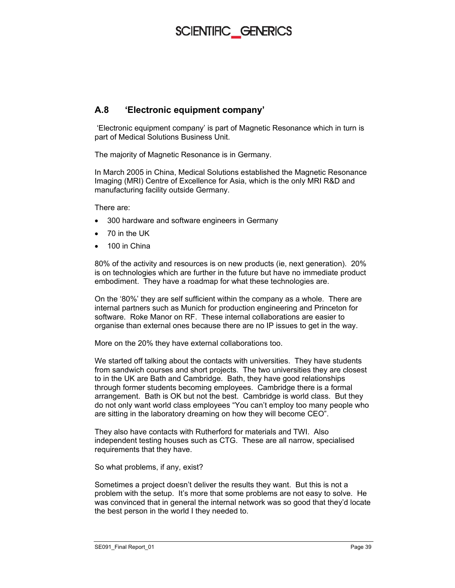#### **A.8 'Electronic equipment company'**

 'Electronic equipment company' is part of Magnetic Resonance which in turn is part of Medical Solutions Business Unit.

The majority of Magnetic Resonance is in Germany.

In March 2005 in China, Medical Solutions established the Magnetic Resonance Imaging (MRI) Centre of Excellence for Asia, which is the only MRI R&D and manufacturing facility outside Germany.

There are:

- 300 hardware and software engineers in Germany
- 70 in the UK
- 100 in China

80% of the activity and resources is on new products (ie, next generation). 20% is on technologies which are further in the future but have no immediate product embodiment. They have a roadmap for what these technologies are.

On the '80%' they are self sufficient within the company as a whole. There are internal partners such as Munich for production engineering and Princeton for software. Roke Manor on RF. These internal collaborations are easier to organise than external ones because there are no IP issues to get in the way.

More on the 20% they have external collaborations too.

We started off talking about the contacts with universities. They have students from sandwich courses and short projects. The two universities they are closest to in the UK are Bath and Cambridge. Bath, they have good relationships through former students becoming employees. Cambridge there is a formal arrangement. Bath is OK but not the best. Cambridge is world class. But they do not only want world class employees "You can't employ too many people who are sitting in the laboratory dreaming on how they will become CEO".

They also have contacts with Rutherford for materials and TWI. Also independent testing houses such as CTG. These are all narrow, specialised requirements that they have.

So what problems, if any, exist?

Sometimes a project doesn't deliver the results they want. But this is not a problem with the setup. It's more that some problems are not easy to solve. He was convinced that in general the internal network was so good that they'd locate the best person in the world I they needed to.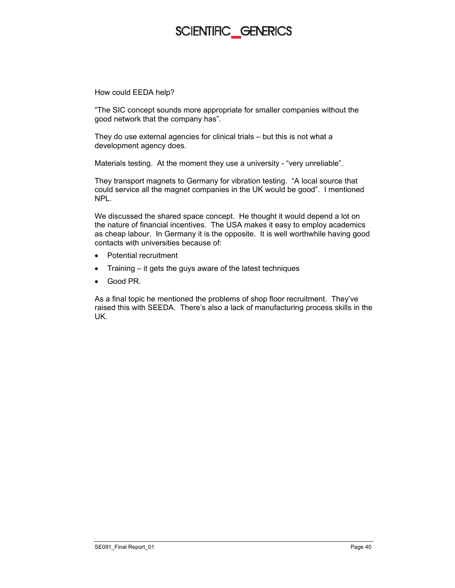How could EEDA help?

"The SIC concept sounds more appropriate for smaller companies without the good network that the company has".

They do use external agencies for clinical trials – but this is not what a development agency does.

Materials testing. At the moment they use a university - "very unreliable".

They transport magnets to Germany for vibration testing. "A local source that could service all the magnet companies in the UK would be good". I mentioned NPL.

We discussed the shared space concept. He thought it would depend a lot on the nature of financial incentives. The USA makes it easy to employ academics as cheap labour. In Germany it is the opposite. It is well worthwhile having good contacts with universities because of:

- Potential recruitment
- Training it gets the guys aware of the latest techniques
- Good PR.

As a final topic he mentioned the problems of shop floor recruitment. They've raised this with SEEDA. There's also a lack of manufacturing process skills in the UK.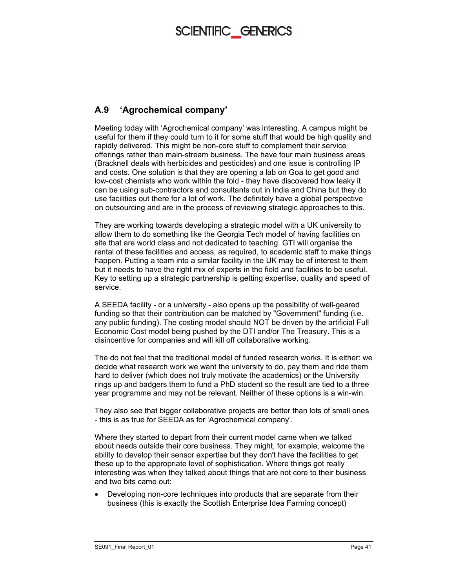### **A.9 'Agrochemical company'**

Meeting today with 'Agrochemical company' was interesting. A campus might be useful for them if they could turn to it for some stuff that would be high quality and rapidly delivered. This might be non-core stuff to complement their service offerings rather than main-stream business. The have four main business areas (Bracknell deals with herbicides and pesticides) and one issue is controlling IP and costs. One solution is that they are opening a lab on Goa to get good and low-cost chemists who work within the fold - they have discovered how leaky it can be using sub-contractors and consultants out in India and China but they do use facilities out there for a lot of work. The definitely have a global perspective on outsourcing and are in the process of reviewing strategic approaches to this.

They are working towards developing a strategic model with a UK university to allow them to do something like the Georgia Tech model of having facilities on site that are world class and not dedicated to teaching. GTI will organise the rental of these facilities and access, as required, to academic staff to make things happen. Putting a team into a similar facility in the UK may be of interest to them but it needs to have the right mix of experts in the field and facilities to be useful. Key to setting up a strategic partnership is getting expertise, quality and speed of service.

A SEEDA facility - or a university - also opens up the possibility of well-geared funding so that their contribution can be matched by "Government" funding (i.e. any public funding). The costing model should NOT be driven by the artificial Full Economic Cost model being pushed by the DTI and/or The Treasury. This is a disincentive for companies and will kill off collaborative working.

The do not feel that the traditional model of funded research works. It is either: we decide what research work we want the university to do, pay them and ride them hard to deliver (which does not truly motivate the academics) or the University rings up and badgers them to fund a PhD student so the result are tied to a three year programme and may not be relevant. Neither of these options is a win-win.

They also see that bigger collaborative projects are better than lots of small ones - this is as true for SEEDA as for 'Agrochemical company'.

Where they started to depart from their current model came when we talked about needs outside their core business. They might, for example, welcome the ability to develop their sensor expertise but they don't have the facilities to get these up to the appropriate level of sophistication. Where things got really interesting was when they talked about things that are not core to their business and two bits came out:

• Developing non-core techniques into products that are separate from their business (this is exactly the Scottish Enterprise Idea Farming concept)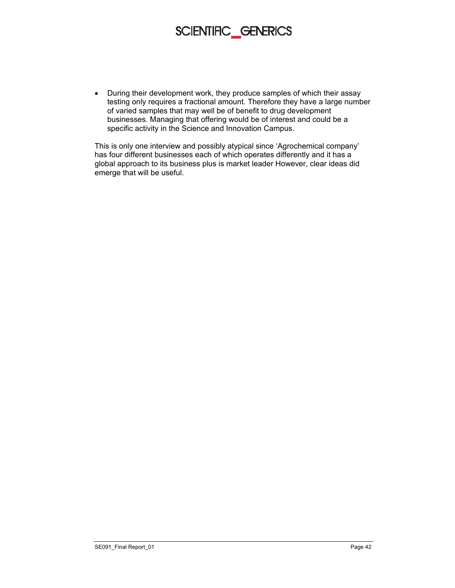• During their development work, they produce samples of which their assay testing only requires a fractional amount. Therefore they have a large number of varied samples that may well be of benefit to drug development businesses. Managing that offering would be of interest and could be a specific activity in the Science and Innovation Campus.

This is only one interview and possibly atypical since 'Agrochemical company' has four different businesses each of which operates differently and it has a global approach to its business plus is market leader However, clear ideas did emerge that will be useful.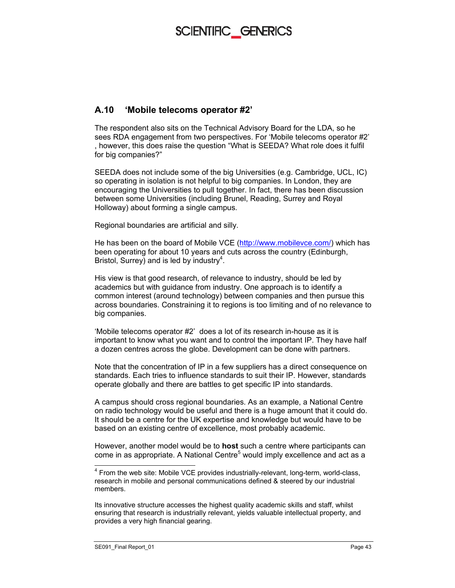#### **A.10 'Mobile telecoms operator #2'**

The respondent also sits on the Technical Advisory Board for the LDA, so he sees RDA engagement from two perspectives. For 'Mobile telecoms operator #2' , however, this does raise the question "What is SEEDA? What role does it fulfil for big companies?"

SEEDA does not include some of the big Universities (e.g. Cambridge, UCL, IC) so operating in isolation is not helpful to big companies. In London, they are encouraging the Universities to pull together. In fact, there has been discussion between some Universities (including Brunel, Reading, Surrey and Royal Holloway) about forming a single campus.

Regional boundaries are artificial and silly.

He has been on the board of Mobile VCE (http://www.mobilevce.com/) which has been operating for about 10 years and cuts across the country (Edinburgh, Bristol, Surrey) and is led by industry<sup>4</sup>.

His view is that good research, of relevance to industry, should be led by academics but with guidance from industry. One approach is to identify a common interest (around technology) between companies and then pursue this across boundaries. Constraining it to regions is too limiting and of no relevance to big companies.

'Mobile telecoms operator #2' does a lot of its research in-house as it is important to know what you want and to control the important IP. They have half a dozen centres across the globe. Development can be done with partners.

Note that the concentration of IP in a few suppliers has a direct consequence on standards. Each tries to influence standards to suit their IP. However, standards operate globally and there are battles to get specific IP into standards.

A campus should cross regional boundaries. As an example, a National Centre on radio technology would be useful and there is a huge amount that it could do. It should be a centre for the UK expertise and knowledge but would have to be based on an existing centre of excellence, most probably academic.

However, another model would be to **host** such a centre where participants can come in as appropriate. A National Centre<sup>5</sup> would imply excellence and act as a

-

<sup>&</sup>lt;sup>4</sup> From the web site: Mobile VCE provides industrially-relevant, long-term, world-class, research in mobile and personal communications defined & steered by our industrial members.

Its innovative structure accesses the highest quality academic skills and staff, whilst ensuring that research is industrially relevant, yields valuable intellectual property, and provides a very high financial gearing.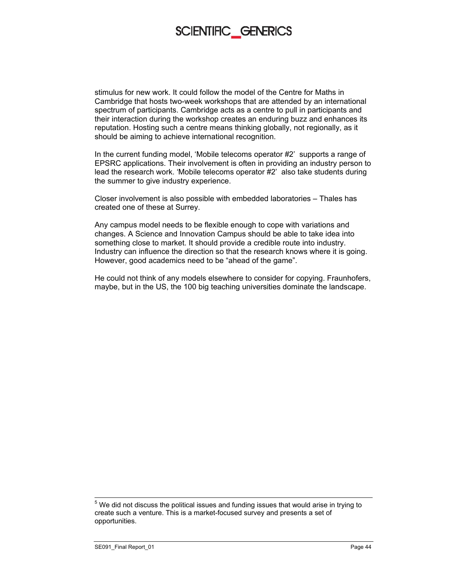stimulus for new work. It could follow the model of the Centre for Maths in Cambridge that hosts two-week workshops that are attended by an international spectrum of participants. Cambridge acts as a centre to pull in participants and their interaction during the workshop creates an enduring buzz and enhances its reputation. Hosting such a centre means thinking globally, not regionally, as it should be aiming to achieve international recognition.

In the current funding model, 'Mobile telecoms operator #2' supports a range of EPSRC applications. Their involvement is often in providing an industry person to lead the research work. 'Mobile telecoms operator #2' also take students during the summer to give industry experience.

Closer involvement is also possible with embedded laboratories – Thales has created one of these at Surrey.

Any campus model needs to be flexible enough to cope with variations and changes. A Science and Innovation Campus should be able to take idea into something close to market. It should provide a credible route into industry. Industry can influence the direction so that the research knows where it is going. However, good academics need to be "ahead of the game".

He could not think of any models elsewhere to consider for copying. Fraunhofers, maybe, but in the US, the 100 big teaching universities dominate the landscape.

 $5$  We did not discuss the political issues and funding issues that would arise in trying to create such a venture. This is a market-focused survey and presents a set of opportunities.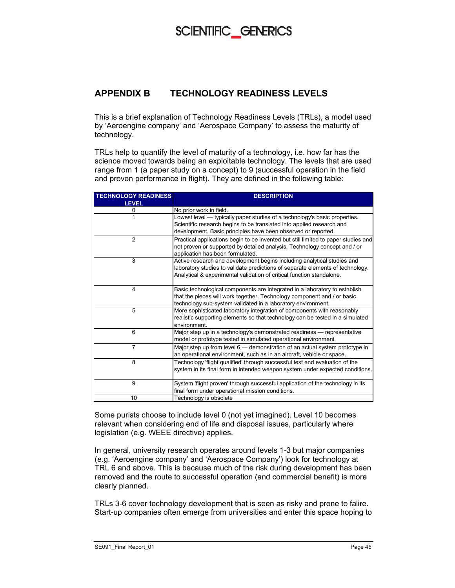#### **APPENDIX B TECHNOLOGY READINESS LEVELS**

This is a brief explanation of Technology Readiness Levels (TRLs), a model used by 'Aeroengine company' and 'Aerospace Company' to assess the maturity of technology.

TRLs help to quantify the level of maturity of a technology, i.e. how far has the science moved towards being an exploitable technology. The levels that are used range from 1 (a paper study on a concept) to 9 (successful operation in the field and proven performance in flight). They are defined in the following table:

| <b>TECHNOLOGY READINESS</b> | <b>DESCRIPTION</b>                                                                 |
|-----------------------------|------------------------------------------------------------------------------------|
| <b>LEVEL</b>                |                                                                                    |
| 0                           | No prior work in field.                                                            |
| 1                           | Lowest level — typically paper studies of a technology's basic properties.         |
|                             | Scientific research begins to be translated into applied research and              |
|                             | development. Basic principles have been observed or reported.                      |
| $\overline{2}$              | Practical applications begin to be invented but still limited to paper studies and |
|                             | not proven or supported by detailed analysis. Technology concept and / or          |
|                             | application has been formulated.                                                   |
| 3                           | Active research and development begins including analytical studies and            |
|                             | laboratory studies to validate predictions of separate elements of technology.     |
|                             | Analytical & experimental validation of critical function standalone.              |
|                             |                                                                                    |
| $\overline{\mathbf{4}}$     | Basic technological components are integrated in a laboratory to establish         |
|                             | that the pieces will work together. Technology component and / or basic            |
|                             | technology sub-system validated in a laboratory environment.                       |
| 5                           | More sophisticated laboratory integration of components with reasonably            |
|                             | realistic supporting elements so that technology can be tested in a simulated      |
|                             | environment.                                                                       |
| 6                           | Major step up in a technology's demonstrated readiness - representative            |
|                             | model or prototype tested in simulated operational environment.                    |
| $\overline{7}$              | Major step up from level 6 – demonstration of an actual system prototype in        |
|                             | an operational environment, such as in an aircraft, vehicle or space.              |
| 8                           | Technology 'flight qualified' through successful test and evaluation of the        |
|                             | system in its final form in intended weapon system under expected conditions.      |
|                             |                                                                                    |
| 9                           | System 'flight proven' through successful application of the technology in its     |
|                             | final form under operational mission conditions.                                   |
| 10                          | Technology is obsolete                                                             |

Some purists choose to include level 0 (not yet imagined). Level 10 becomes relevant when considering end of life and disposal issues, particularly where legislation (e.g. WEEE directive) applies.

In general, university research operates around levels 1-3 but major companies (e.g. 'Aeroengine company' and 'Aerospace Company') look for technology at TRL 6 and above. This is because much of the risk during development has been removed and the route to successful operation (and commercial benefit) is more clearly planned.

TRLs 3-6 cover technology development that is seen as risky and prone to falire. Start-up companies often emerge from universities and enter this space hoping to